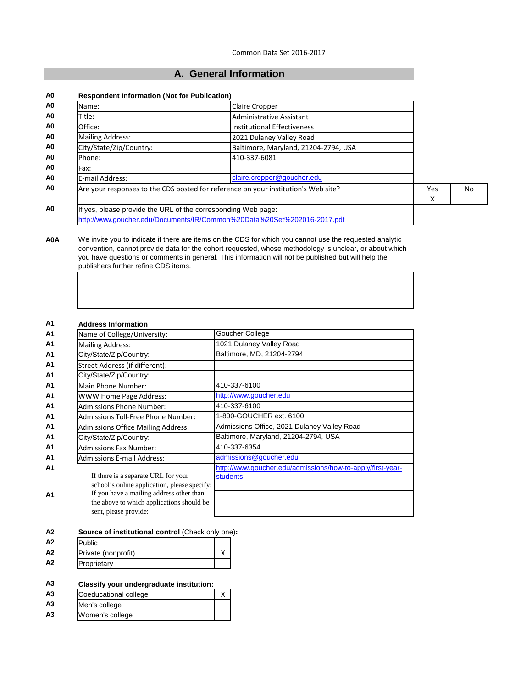# **A. General Information**

| <b>Respondent Information (Not for Publication)</b>           |                                                                                    |            |    |
|---------------------------------------------------------------|------------------------------------------------------------------------------------|------------|----|
| Name:                                                         | <b>Claire Cropper</b>                                                              |            |    |
| Title:                                                        | Administrative Assistant                                                           |            |    |
| Office:                                                       | Institutional Effectiveness                                                        |            |    |
| <b>Mailing Address:</b>                                       | 2021 Dulaney Valley Road                                                           |            |    |
| City/State/Zip/Country:                                       | Baltimore, Maryland, 21204-2794, USA                                               |            |    |
| Phone:                                                        | 410-337-6081                                                                       |            |    |
| Fax:                                                          |                                                                                    |            |    |
| E-mail Address:                                               | claire.cropper@goucher.edu                                                         |            |    |
|                                                               | Are your responses to the CDS posted for reference on your institution's Web site? | <b>Yes</b> | No |
|                                                               |                                                                                    | X          |    |
| If yes, please provide the URL of the corresponding Web page: |                                                                                    |            |    |
|                                                               | http://www.goucher.edu/Documents/IR/Common%20Data%20Set%202016-2017.pdf            |            |    |

**A0A** We invite you to indicate if there are items on the CDS for which you cannot use the requested analytic convention, cannot provide data for the cohort requested, whose methodology is unclear, or about which you have questions or comments in general. This information will not be published but will help the publishers further refine CDS items.

| <b>Address Information</b>                                                                                                                                                                            |                                                                               |
|-------------------------------------------------------------------------------------------------------------------------------------------------------------------------------------------------------|-------------------------------------------------------------------------------|
| Name of College/University:                                                                                                                                                                           | Goucher College                                                               |
| <b>Mailing Address:</b>                                                                                                                                                                               | 1021 Dulaney Valley Road                                                      |
| City/State/Zip/Country:                                                                                                                                                                               | Baltimore, MD, 21204-2794                                                     |
| Street Address (if different):                                                                                                                                                                        |                                                                               |
| City/State/Zip/Country:                                                                                                                                                                               |                                                                               |
| Main Phone Number:                                                                                                                                                                                    | 410-337-6100                                                                  |
| <b>WWW Home Page Address:</b>                                                                                                                                                                         | http://www.goucher.edu                                                        |
| <b>Admissions Phone Number:</b>                                                                                                                                                                       | 410-337-6100                                                                  |
| <b>Admissions Toll-Free Phone Number:</b>                                                                                                                                                             | 1-800-GOUCHER ext. 6100                                                       |
| <b>Admissions Office Mailing Address:</b>                                                                                                                                                             | Admissions Office, 2021 Dulaney Valley Road                                   |
| City/State/Zip/Country:                                                                                                                                                                               | Baltimore, Maryland, 21204-2794, USA                                          |
| <b>Admissions Fax Number:</b>                                                                                                                                                                         | 410-337-6354                                                                  |
| <b>Admissions E-mail Address:</b>                                                                                                                                                                     | admissions@goucher.edu                                                        |
| If there is a separate URL for your<br>school's online application, please specify:<br>If you have a mailing address other than<br>the above to which applications should be<br>sent, please provide: | http://www.goucher.edu/admissions/how-to-apply/first-year-<br><b>students</b> |

**A2 Source of institutional control** (Check only one)**:**

| A <sub>2</sub> | Public              |  |
|----------------|---------------------|--|
| A <sub>2</sub> | Private (nonprofit) |  |
| A2             | Proprietary         |  |

## **A3 Classify your undergraduate institution:**

| A <sub>3</sub> | Coeducational college |  |
|----------------|-----------------------|--|
| A <sub>3</sub> | Men's college         |  |
| A <sub>3</sub> | Women's college       |  |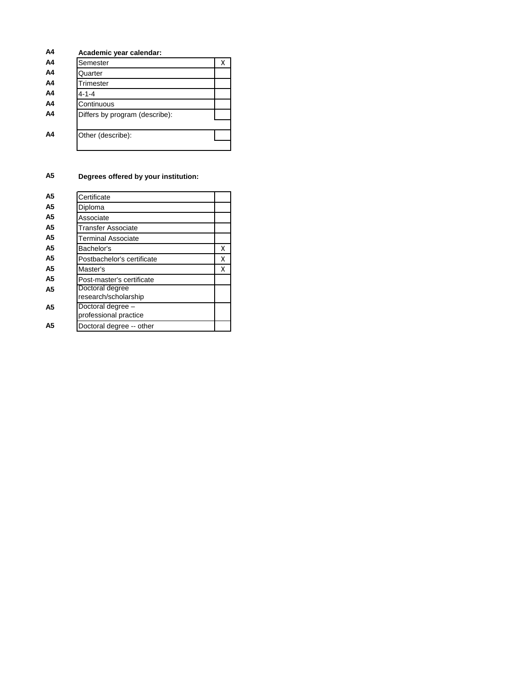| A4             | Academic year calendar:        |   |
|----------------|--------------------------------|---|
| A4             | Semester                       | х |
| A4             | Quarter                        |   |
| A4             | Trimester                      |   |
| A4             | 4-1-4                          |   |
| A <sub>4</sub> | Continuous                     |   |
| A4             | Differs by program (describe): |   |
| A4             | Other (describe):              |   |

# **A5 Degrees offered by your institution:**

| A5 | Certificate                                |   |
|----|--------------------------------------------|---|
| A5 | Diploma                                    |   |
| A5 | Associate                                  |   |
| A5 | Transfer Associate                         |   |
| A5 | Terminal Associate                         |   |
| A5 | Bachelor's                                 | x |
| A5 | Postbachelor's certificate                 | x |
| A5 | Master's                                   | x |
| A5 | Post-master's certificate                  |   |
| A5 | Doctoral degree<br>research/scholarship    |   |
| A5 | Doctoral degree -<br>professional practice |   |
| А5 | Doctoral degree -- other                   |   |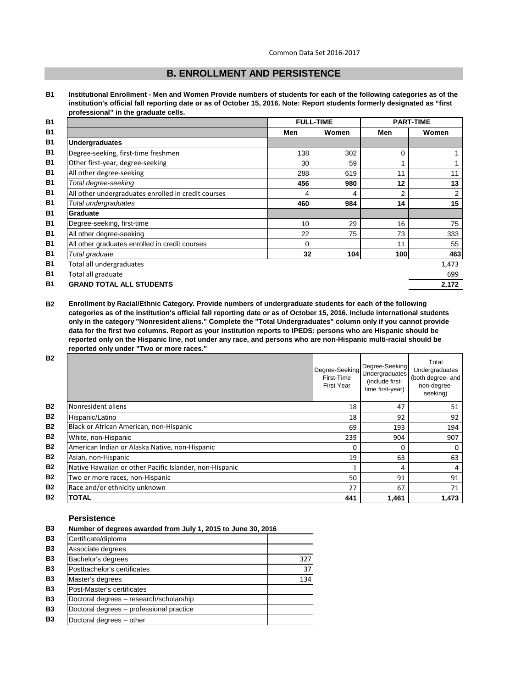# **B. ENROLLMENT AND PERSISTENCE**

**B1 Institutional Enrollment - Men and Women Provide numbers of students for each of the following categories as of the institution's official fall reporting date or as of October 15, 2016. Note: Report students formerly designated as "first professional" in the graduate cells.**

| <b>B1</b> |                                                     |     | <b>FULL-TIME</b> |     | <b>PART-TIME</b> |
|-----------|-----------------------------------------------------|-----|------------------|-----|------------------|
| <b>B1</b> |                                                     | Men | Women            | Men | Women            |
| <b>B1</b> | <b>Undergraduates</b>                               |     |                  |     |                  |
| <b>B1</b> | Degree-seeking, first-time freshmen                 | 138 | 302              | 0   |                  |
| <b>B1</b> | Other first-year, degree-seeking                    | 30  | 59               | 1   |                  |
| <b>B1</b> | All other degree-seeking                            | 288 | 619              | 11  | 11               |
| <b>B1</b> | Total degree-seeking                                | 456 | 980              | 12  | 13               |
| <b>B1</b> | All other undergraduates enrolled in credit courses | 4   | 4                | 2   | $\overline{2}$   |
| <b>B1</b> | Total undergraduates                                | 460 | 984              | 14  | 15               |
| <b>B1</b> | Graduate                                            |     |                  |     |                  |
| <b>B1</b> | Degree-seeking, first-time                          | 10  | 29               | 16  | 75               |
| <b>B1</b> | All other degree-seeking                            | 22  | 75               | 73  | 333              |
| <b>B1</b> | All other graduates enrolled in credit courses      | 0   |                  | 11  | 55               |
| <b>B1</b> | Total graduate                                      | 32  | 104              | 100 | 463              |
| <b>B1</b> | Total all undergraduates                            |     |                  |     | 1,473            |
| <b>B1</b> | Total all graduate                                  |     |                  |     | 699              |
| <b>B1</b> | <b>GRAND TOTAL ALL STUDENTS</b>                     |     |                  |     | 2,172            |
|           |                                                     |     |                  |     |                  |

**B2 Enrollment by Racial/Ethnic Category. Provide numbers of undergraduate students for each of the following categories as of the institution's official fall reporting date or as of October 15, 2016. Include international students only in the category "Nonresident aliens." Complete the "Total Undergraduates" column only if you cannot provide data for the first two columns. Report as your institution reports to IPEDS: persons who are Hispanic should be reported only on the Hispanic line, not under any race, and persons who are non-Hispanic multi-racial should be reported only under "Two or more races."** 

| <b>B2</b> |                                                         | Degree-Seeking<br>First-Time<br><b>First Year</b> | Degree-Seeking<br>Undergraduates<br>(include first-<br>time first-year) | Total<br>Undergraduates<br>(both degree- and<br>non-degree-<br>seeking) |
|-----------|---------------------------------------------------------|---------------------------------------------------|-------------------------------------------------------------------------|-------------------------------------------------------------------------|
| <b>B2</b> | Nonresident aliens                                      | 18                                                | 47                                                                      | 51                                                                      |
| <b>B2</b> | Hispanic/Latino                                         | 18                                                | 92                                                                      | 92                                                                      |
| <b>B2</b> | Black or African American, non-Hispanic                 | 69                                                | 193                                                                     | 194                                                                     |
| <b>B2</b> | White, non-Hispanic                                     | 239                                               | 904                                                                     | 907                                                                     |
| <b>B2</b> | American Indian or Alaska Native, non-Hispanic          | O                                                 | 0                                                                       | 0                                                                       |
| <b>B2</b> | Asian, non-Hispanic                                     | 19                                                | 63                                                                      | 63                                                                      |
| <b>B2</b> | Native Hawaiian or other Pacific Islander, non-Hispanic |                                                   | 4                                                                       | 4                                                                       |
| <b>B2</b> | Two or more races, non-Hispanic                         | 50                                                | 91                                                                      | 91                                                                      |
| <b>B2</b> | Race and/or ethnicity unknown                           | 27                                                | 67                                                                      | 71                                                                      |
| <b>B2</b> | <b>TOTAL</b>                                            | 441                                               | 1,461                                                                   | 1,473                                                                   |

## **Persistence**

| B3        | Number of degrees awarded from July 1, 2015 to June 30, 2016 |     |  |
|-----------|--------------------------------------------------------------|-----|--|
| <b>B3</b> | Certificate/diploma                                          |     |  |
| <b>B3</b> | Associate degrees                                            |     |  |
| <b>B3</b> | Bachelor's degrees                                           | 327 |  |
| <b>B3</b> | Postbachelor's certificates                                  | 37  |  |
| <b>B3</b> | Master's degrees                                             | 134 |  |
| <b>B3</b> | Post-Master's certificates                                   |     |  |
| <b>B3</b> | Doctoral degrees - research/scholarship                      |     |  |
| <b>B3</b> | Doctoral degrees - professional practice                     |     |  |
| <b>B3</b> | Doctoral degrees - other                                     |     |  |
|           |                                                              |     |  |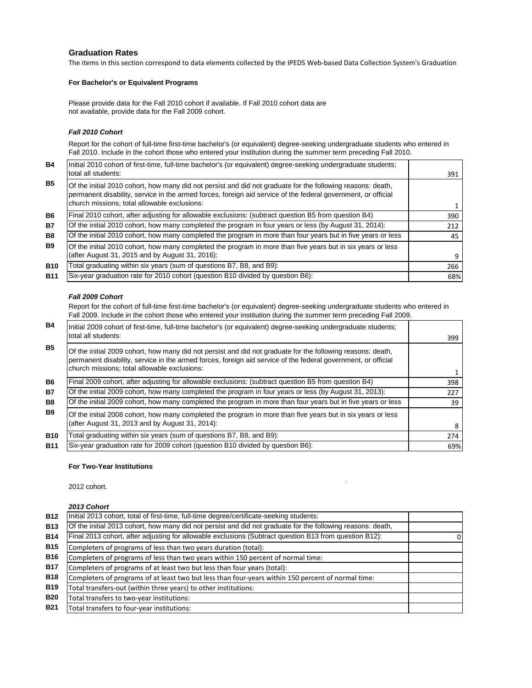## **Graduation Rates**

The items in this section correspond to data elements collected by the IPEDS Web-based Data Collection System's Graduation

#### **For Bachelor's or Equivalent Programs**

Please provide data for the Fall 2010 cohort if available. If Fall 2010 cohort data are not available, provide data for the Fall 2009 cohort.

#### *Fall 2010 Cohort*

Report for the cohort of full-time first-time bachelor's (or equivalent) degree-seeking undergraduate students who entered in Fall 2010. Include in the cohort those who entered your institution during the summer term preceding Fall 2010.

| <b>B4</b>  | Initial 2010 cohort of first-time, full-time bachelor's (or equivalent) degree-seeking undergraduate students;<br>total all students:                                                                                                                                        | 391 |
|------------|------------------------------------------------------------------------------------------------------------------------------------------------------------------------------------------------------------------------------------------------------------------------------|-----|
| <b>B5</b>  | Of the initial 2010 cohort, how many did not persist and did not graduate for the following reasons: death,<br>permanent disability, service in the armed forces, foreign aid service of the federal government, or official<br>church missions; total allowable exclusions: |     |
| <b>B6</b>  | Final 2010 cohort, after adjusting for allowable exclusions: (subtract question B5 from question B4)                                                                                                                                                                         | 390 |
| <b>B7</b>  | Of the initial 2010 cohort, how many completed the program in four years or less (by August 31, 2014):                                                                                                                                                                       | 212 |
| <b>B8</b>  | Of the initial 2010 cohort, how many completed the program in more than four years but in five years or less                                                                                                                                                                 | 45  |
| <b>B9</b>  | Of the initial 2010 cohort, how many completed the program in more than five years but in six years or less<br>(after August 31, 2015 and by August 31, 2016):                                                                                                               | 9   |
| <b>B10</b> | Total graduating within six years (sum of questions B7, B8, and B9):                                                                                                                                                                                                         | 266 |
| <b>B11</b> | Six-year graduation rate for 2010 cohort (question B10 divided by question B6):                                                                                                                                                                                              | 68% |

#### *Fall 2009 Cohort*

Report for the cohort of full-time first-time bachelor's (or equivalent) degree-seeking undergraduate students who entered in Fall 2009. Include in the cohort those who entered your institution during the summer term preceding Fall 2009.

| <b>B4</b>  | Initial 2009 cohort of first-time, full-time bachelor's (or equivalent) degree-seeking undergraduate students;<br>total all students:                                                                                                                                        | 399 |
|------------|------------------------------------------------------------------------------------------------------------------------------------------------------------------------------------------------------------------------------------------------------------------------------|-----|
| <b>B5</b>  | Of the initial 2009 cohort, how many did not persist and did not graduate for the following reasons: death,<br>permanent disability, service in the armed forces, foreign aid service of the federal government, or official<br>church missions; total allowable exclusions: |     |
| <b>B6</b>  | Final 2009 cohort, after adjusting for allowable exclusions: (subtract question B5 from question B4)                                                                                                                                                                         | 398 |
| <b>B7</b>  | Of the initial 2009 cohort, how many completed the program in four years or less (by August 31, 2013):                                                                                                                                                                       | 227 |
| <b>B8</b>  | Of the initial 2009 cohort, how many completed the program in more than four years but in five years or less                                                                                                                                                                 | 39  |
| <b>B9</b>  | Of the initial 2008 cohort, how many completed the program in more than five years but in six years or less<br>(after August 31, 2013 and by August 31, 2014):                                                                                                               | 8   |
| <b>B10</b> | Total graduating within six years (sum of questions B7, B8, and B9):                                                                                                                                                                                                         | 274 |
| <b>B11</b> | Six-year graduation rate for 2009 cohort (question B10 divided by question B6):                                                                                                                                                                                              | 69% |

#### **For Two-Year Institutions**

 $\mathbf{p}$  , produce the set of the set of the set of the set of the set of the set of the set of the set of the set of the set of the set of the set of the set of the set of the set of the set of the set of the set of the 2012 cohort.

#### *2013 Cohort*

| <b>B12</b> | Initial 2013 cohort, total of first-time, full-time degree/certificate-seeking students:                    |   |
|------------|-------------------------------------------------------------------------------------------------------------|---|
| <b>B13</b> | Of the initial 2013 cohort, how many did not persist and did not graduate for the following reasons: death, |   |
| <b>B14</b> | Final 2013 cohort, after adjusting for allowable exclusions (Subtract question B13 from question B12):      | 0 |
| <b>B15</b> | Completers of programs of less than two years duration (total):                                             |   |
| <b>B16</b> | Completers of programs of less than two years within 150 percent of normal time:                            |   |
| <b>B17</b> | Completers of programs of at least two but less than four years (total):                                    |   |
| <b>B18</b> | Completers of programs of at least two but less than four-years within 150 percent of normal time:          |   |
| <b>B19</b> | Total transfers-out (within three years) to other institutions:                                             |   |
| <b>B20</b> | Total transfers to two-year institutions:                                                                   |   |
| <b>B21</b> | Total transfers to four-year institutions:                                                                  |   |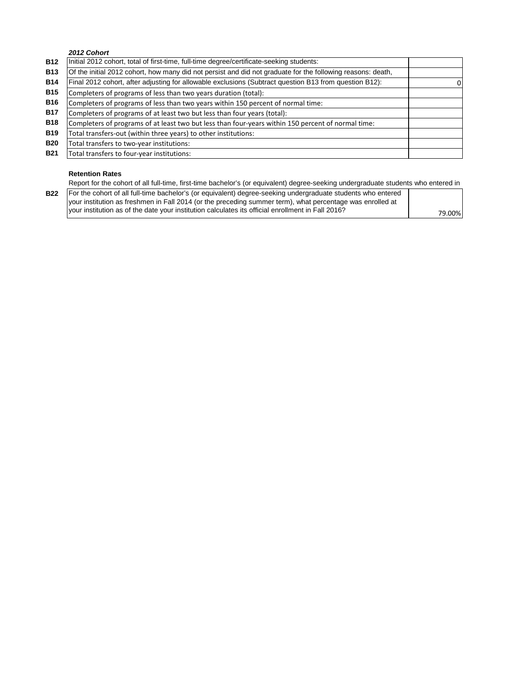## *2012 Cohort*

| <b>B12</b> | Initial 2012 cohort, total of first-time, full-time degree/certificate-seeking students:                    |  |
|------------|-------------------------------------------------------------------------------------------------------------|--|
| <b>B13</b> | Of the initial 2012 cohort, how many did not persist and did not graduate for the following reasons: death, |  |
| <b>B14</b> | Final 2012 cohort, after adjusting for allowable exclusions (Subtract question B13 from question B12):      |  |
| <b>B15</b> | Completers of programs of less than two years duration (total):                                             |  |
| <b>B16</b> | Completers of programs of less than two years within 150 percent of normal time:                            |  |
| <b>B17</b> | Completers of programs of at least two but less than four years (total):                                    |  |
| <b>B18</b> | Completers of programs of at least two but less than four-years within 150 percent of normal time:          |  |
| <b>B19</b> | Total transfers-out (within three years) to other institutions:                                             |  |
| <b>B20</b> | Total transfers to two-year institutions:                                                                   |  |
| <b>B21</b> | Total transfers to four-year institutions:                                                                  |  |

## **Retention Rates**

Report for the cohort of all full-time, first-time bachelor's (or equivalent) degree-seeking undergraduate students who entered in

| B22   For the cohort of all full-time bachelor's (or equivalent) degree-seeking undergraduate students who entered |        |
|--------------------------------------------------------------------------------------------------------------------|--------|
| your institution as freshmen in Fall 2014 (or the preceding summer term), what percentage was enrolled at          |        |
| I vour institution as of the date your institution calculates its official enrollment in Fall 2016?                | 79.00% |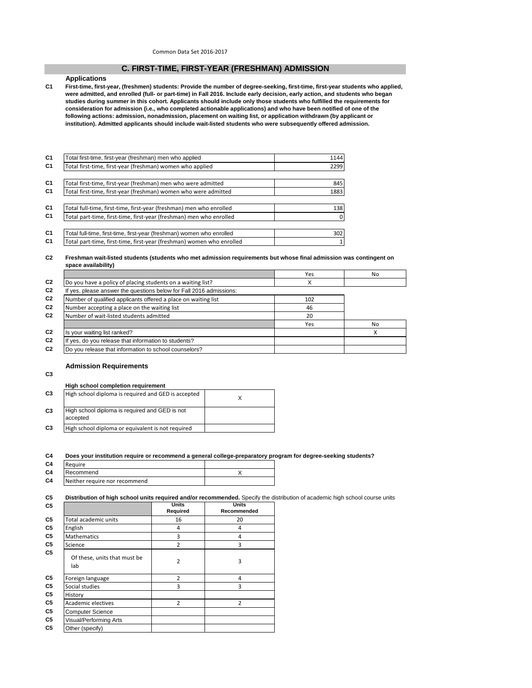Common Data Set 2016-2017

#### **C. FIRST-TIME, FIRST-YEAR (FRESHMAN) ADMISSION**

#### **Applications**

**C1 First-time, first-year, (freshmen) students: Provide the number of degree-seeking, first-time, first-year students who applied, were admitted, and enrolled (full- or part-time) in Fall 2016. Include early decision, early action, and students who began studies during summer in this cohort. Applicants should include only those students who fulfilled the requirements for consideration for admission (i.e., who completed actionable applications) and who have been notified of one of the following actions: admission, nonadmission, placement on waiting list, or application withdrawn (by applicant or institution). Admitted applicants should include wait-listed students who were subsequently offered admission.**

| Total first-time, first-year (freshman) men who applied               | 1144           |
|-----------------------------------------------------------------------|----------------|
| Total first-time, first-year (freshman) women who applied             | 2299           |
|                                                                       |                |
| Total first-time, first-year (freshman) men who were admitted         | 845            |
| Total first-time, first-year (freshman) women who were admitted       | 1883           |
|                                                                       |                |
| Total full-time, first-time, first-year (freshman) men who enrolled   | 138            |
| Total part-time, first-time, first-year (freshman) men who enrolled   | $\mathbf{0}$   |
|                                                                       |                |
| Total full-time, first-time, first-year (freshman) women who enrolled | 302            |
| Total part-time, first-time, first-year (freshman) women who enrolled | 1 <sup>1</sup> |

#### **C2 Freshman wait-listed students (students who met admission requirements but whose final admission was contingent on space availability)**

|                                                                     | Yes | No |
|---------------------------------------------------------------------|-----|----|
| Do you have a policy of placing students on a waiting list?         |     |    |
| If yes, please answer the questions below for Fall 2016 admissions: |     |    |
| Number of qualified applicants offered a place on waiting list      | 102 |    |
| Number accepting a place on the waiting list                        | 46  |    |
| Number of wait-listed students admitted                             | 20  |    |
|                                                                     | Yes | No |
| Is your waiting list ranked?                                        |     |    |
| If yes, do you release that information to students?                |     |    |
| Do you release that information to school counselors?               |     |    |
|                                                                     |     |    |

#### **Admission Requirements**

**C3**

## **High school completion requirement**

| C <sub>3</sub> | High school diploma is required and GED is accepted        |  |
|----------------|------------------------------------------------------------|--|
| C <sub>3</sub> | High school diploma is required and GED is not<br>accepted |  |
| C <sub>3</sub> | High school diploma or equivalent is not required          |  |

#### **C4 Does your institution require or recommend a general college-preparatory program for degree-seeking students?**

| C4 | Require                       |  |
|----|-------------------------------|--|
| C4 | Recommend                     |  |
| C4 | Neither require nor recommend |  |

#### **C5 Distribution of high school units required and/or recommended.** Specify the distribution of academic high school course units

|                                     | Units<br>Required | <b>Units</b><br>Recommended |
|-------------------------------------|-------------------|-----------------------------|
| Total academic units                | 16                | 20                          |
| English                             | 4                 | 4                           |
| <b>Mathematics</b>                  | 3                 | 4                           |
| Science                             | $\overline{2}$    | 3                           |
| Of these, units that must be<br>lab | 2                 | 3                           |
| Foreign language                    | $\overline{2}$    | 4                           |
| Social studies                      | 3                 | 3                           |
| History                             |                   |                             |
| <b>Academic electives</b>           | $\overline{2}$    | $\overline{2}$              |
| <b>Computer Science</b>             |                   |                             |
| Visual/Performing Arts              |                   |                             |
| Other (specify)                     |                   |                             |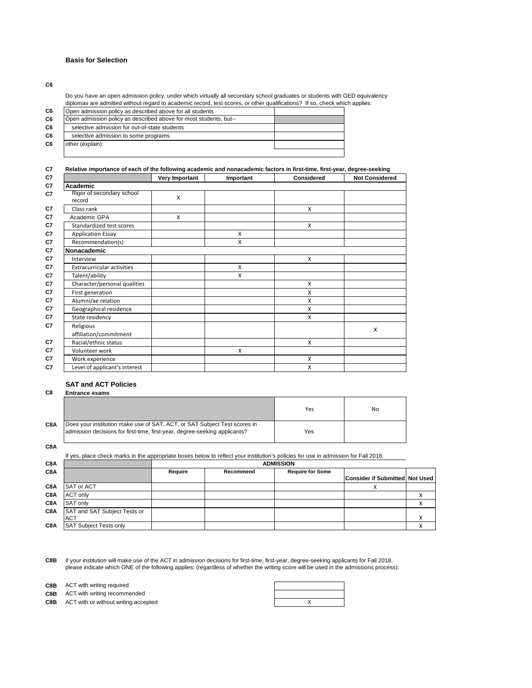#### **Basis for Selection**

**C6**

Do you have an open admission policy, under which virtually all secondary school graduates or students with GED equivalency diplomas are admitted without regard to academic record, test scores, or other qualifications? If so, check which applies:

| C6             | Open admission policy as described above for all students         |  |
|----------------|-------------------------------------------------------------------|--|
| C <sub>6</sub> | Open admission policy as described above for most students, but-- |  |
| C <sub>6</sub> | selective admission for out-of-state students                     |  |
| C <sub>6</sub> | selective admission to some programs                              |  |
| C <sub>6</sub> | other (explain):                                                  |  |
|                |                                                                   |  |

#### **C7 Relative importance of each of the following academic and nonacademic factors in first-time, first-year, degree-seeking**

|                                     | Very Important | Important | <b>Considered</b> | <b>Not Considered</b> |
|-------------------------------------|----------------|-----------|-------------------|-----------------------|
| Academic                            |                |           |                   |                       |
| Rigor of secondary school<br>record | X              |           |                   |                       |
| Class rank                          |                |           | $\mathsf{x}$      |                       |
| Academic GPA                        | X              |           |                   |                       |
| Standardized test scores            |                |           | $\mathsf{x}$      |                       |
| <b>Application Essay</b>            |                | X         |                   |                       |
| Recommendation(s)                   |                | X         |                   |                       |
| Nonacademic                         |                |           |                   |                       |
| Interview                           |                |           | X                 |                       |
| <b>Extracurricular activities</b>   |                | X         |                   |                       |
| Talent/ability                      |                | X         |                   |                       |
| Character/personal qualities        |                |           | X                 |                       |
| First generation                    |                |           | X                 |                       |
| Alumni/ae relation                  |                |           | X                 |                       |
| Geographical residence              |                |           | X                 |                       |
| State residency                     |                |           | X                 |                       |
| Religious                           |                |           |                   | X                     |
| affiliation/commitment              |                |           |                   |                       |
| Racial/ethnic status                |                |           | X                 |                       |
| Volunteer work                      |                | X         |                   |                       |
| Work experience                     |                |           | X                 |                       |
| Level of applicant's interest       |                |           | X                 |                       |

# **SAT and ACT Policies**

## **C8 Entrance exams**

|     |                                                                                                                                                         | Yes | No |
|-----|---------------------------------------------------------------------------------------------------------------------------------------------------------|-----|----|
| C8A | Does your institution make use of SAT, ACT, or SAT Subject Test scores in<br>admission decisions for first-time, first-year, degree-seeking applicants? | Yes |    |

**C8A**

**C8A** If yes, place check marks in the appropriate boxes below to reflect your institution's policies for use in admission for Fall 2018. **ADMISSION**

| אטע |                                            | <b>ADINOJIUI</b> |           |                         |                                |  |
|-----|--------------------------------------------|------------------|-----------|-------------------------|--------------------------------|--|
| C8A |                                            | Require          | Recommend | <b>Require for Some</b> |                                |  |
|     |                                            |                  |           |                         | Consider if Submitted Not Used |  |
| C8A | SAT or ACT                                 |                  |           |                         |                                |  |
| C8A | <b>ACT only</b>                            |                  |           |                         |                                |  |
| C8A | <b>SAT only</b>                            |                  |           |                         |                                |  |
| C8A | SAT and SAT Subject Tests or<br><b>ACT</b> |                  |           |                         |                                |  |
| C8A | <b>SAT Subject Tests only</b>              |                  |           |                         |                                |  |
|     |                                            |                  |           |                         |                                |  |

**C8B** If your institution will make use of the ACT in admission decisions for first-time, first-year, degree-seeking applicants for Fall 2018, please indicate which ONE of the following applies: (regardless of whether the writing score will be used in the admissions process):

**C8B** ACT with writing required

**C8B** ACT with writing recommended

**C8B** ACT with or without writing accepted **ACT** ACT ACT WITHOUT A SECTED ASSESSED ASSESSED.

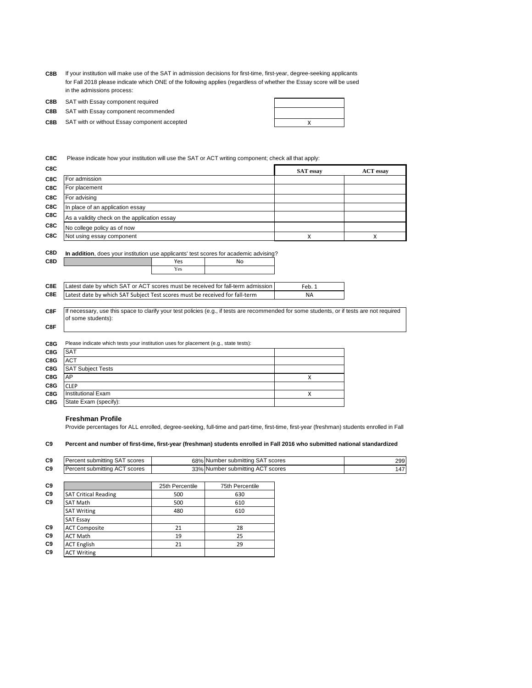**C8B** If your institution will make use of the SAT in admission decisions for first-time, first-year, degree-seeking applicants for Fall 2018 please indicate which ONE of the following applies (regardless of whether the Essay score will be used in the admissions process:

**C8B** SAT with Essay component required

**C8B** SAT with Essay component recommended

**C8B** X SAT with or without Essay component accepted

**C8C** Please indicate how your institution will use the SAT or ACT writing component; check all that apply:

| C8C |                                              | <b>SAT</b> essay | <b>ACT</b> essay |
|-----|----------------------------------------------|------------------|------------------|
| C8C | For admission                                |                  |                  |
| C8C | For placement                                |                  |                  |
| C8C | For advising                                 |                  |                  |
| C8C | In place of an application essay             |                  |                  |
| C8C | As a validity check on the application essay |                  |                  |
| C8C | No college policy as of now                  |                  |                  |
| C8C | Not using essay component                    |                  |                  |

| C8D | In addition, does your institution use applicants' test scores for academic advising?     |     |    |    |  |  |
|-----|-------------------------------------------------------------------------------------------|-----|----|----|--|--|
| C8D |                                                                                           | Yes | Nο |    |  |  |
|     |                                                                                           | Yes |    |    |  |  |
|     |                                                                                           |     |    |    |  |  |
| C8E | Latest date by which SAT or ACT scores must be received for fall-term admission<br>Feb. 1 |     |    |    |  |  |
| C8E | Latest date by which SAT Subject Test scores must be received for fall-term               |     |    | NА |  |  |

**C8F** If necessary, use this space to clarify your test policies (e.g., if tests are recommended for some students, or if tests are not required of some students):

| C8G | Please indicate which tests your institution uses for placement (e.g., state tests): |   |  |  |  |  |
|-----|--------------------------------------------------------------------------------------|---|--|--|--|--|
| C8G | <b>SAT</b>                                                                           |   |  |  |  |  |
| C8G | <b>ACT</b>                                                                           |   |  |  |  |  |
| C8G | <b>SAT Subject Tests</b>                                                             |   |  |  |  |  |
| C8G | AP                                                                                   | x |  |  |  |  |
| C8G | <b>CLEP</b>                                                                          |   |  |  |  |  |
| C8G | <b>Institutional Exam</b>                                                            |   |  |  |  |  |
| C8G | State Exam (specify):                                                                |   |  |  |  |  |

#### **Freshman Profile**

**C9** ACT Writing

**C8F**

Provide percentages for ALL enrolled, degree-seeking, full-time and part-time, first-time, first-year (freshman) students enrolled in Fall

#### **C9 Percent and number of first-time, first-year (freshman) students enrolled in Fall 2016 who submitted national standardized**

| Percent submitting SAT scores |                 | 68% Number submitting SAT scores | 299 |
|-------------------------------|-----------------|----------------------------------|-----|
| Percent submitting ACT scores |                 | 33% Number submitting ACT scores | 147 |
|                               |                 |                                  |     |
|                               | 25th Percentile | 75th Percentile                  |     |
| <b>SAT Critical Reading</b>   | 500             | 630                              |     |
| <b>SAT Math</b>               | 500             | 610                              |     |
| <b>SAT Writing</b>            | 480             | 610                              |     |
| <b>SAT Essay</b>              |                 |                                  |     |
| <b>ACT Composite</b>          | 21              | 28                               |     |
| <b>ACT Math</b>               | 19              | 25                               |     |
| <b>ACT English</b>            | 21              | 29                               |     |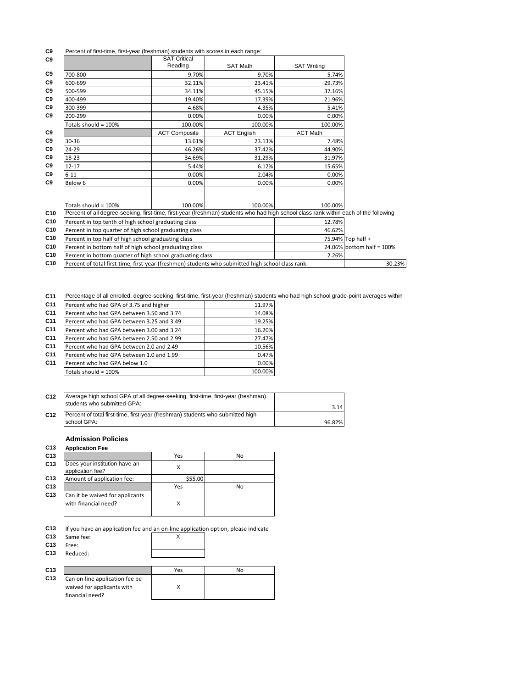#### **C9** Percent of first-time, first-year (freshman) students with scores in each range:

| C <sub>9</sub> |                                                                                                                                       | <b>SAT Critical</b>                                    |                    |                           |  |
|----------------|---------------------------------------------------------------------------------------------------------------------------------------|--------------------------------------------------------|--------------------|---------------------------|--|
|                |                                                                                                                                       | Reading                                                | <b>SAT Math</b>    | <b>SAT Writing</b>        |  |
| C <sub>9</sub> | 700-800                                                                                                                               | 9.70%                                                  | 9.70%              | 5.74%                     |  |
| C <sub>9</sub> | 600-699                                                                                                                               | 32.11%                                                 | 23.41%             | 29.73%                    |  |
| C <sub>9</sub> | 500-599                                                                                                                               | 34.11%                                                 | 45.15%             | 37.16%                    |  |
| C <sub>9</sub> | 400-499                                                                                                                               | 19.40%                                                 | 17.39%             | 21.96%                    |  |
| C <sub>9</sub> | 300-399                                                                                                                               | 4.68%                                                  | 4.35%              | 5.41%                     |  |
| C9             | 200-299                                                                                                                               | 0.00%                                                  | 0.00%              | 0.00%                     |  |
|                | Totals should = 100%                                                                                                                  | 100.00%                                                | 100.00%            | 100.00%                   |  |
| C <sub>9</sub> |                                                                                                                                       | <b>ACT Composite</b>                                   | <b>ACT English</b> | <b>ACT Math</b>           |  |
| C9             | 30-36                                                                                                                                 | 13.61%                                                 | 23.13%             | 7.48%                     |  |
| C <sub>9</sub> | 24-29                                                                                                                                 | 46.26%                                                 | 37.42%             | 44.90%                    |  |
| C <sub>9</sub> | 18-23                                                                                                                                 | 34.69%                                                 | 31.29%             | 31.97%                    |  |
| C <sub>9</sub> | $12 - 17$                                                                                                                             | 5.44%                                                  | 6.12%              | 15.65%                    |  |
| C <sub>9</sub> | $6 - 11$                                                                                                                              | 0.00%                                                  | 2.04%              | 0.00%                     |  |
| C <sub>9</sub> | Below 6                                                                                                                               | 0.00%                                                  | 0.00%              | 0.00%                     |  |
|                |                                                                                                                                       |                                                        |                    |                           |  |
|                | Totals should = 100%                                                                                                                  | 100.00%                                                | 100.00%            | 100.00%                   |  |
| C10            | Percent of all degree-seeking, first-time, first-year (freshman) students who had high school class rank within each of the following |                                                        |                    |                           |  |
| C10            | Percent in top tenth of high school graduating class                                                                                  |                                                        |                    | 12.78%                    |  |
| C10            | Percent in top quarter of high school graduating class                                                                                |                                                        | 46.62%             |                           |  |
| C10            | Percent in top half of high school graduating class                                                                                   |                                                        |                    | 75.94% Top half +         |  |
| C10            |                                                                                                                                       | Percent in bottom half of high school graduating class |                    | 24.06% bottom half = 100% |  |
| C10            | Percent in bottom quarter of high school graduating class                                                                             |                                                        |                    | 2.26%                     |  |
| C10            | Percent of total first-time, first-year (freshmen) students who submitted high school class rank:                                     | 30.23%                                                 |                    |                           |  |

**C11** Percentage of all enrolled, degree-seeking, first-time, first-year (freshman) students who had high school grade-point averages within

| C <sub>11</sub> | Percent who had GPA of 3.75 and higher    | 11.97%  |
|-----------------|-------------------------------------------|---------|
| C <sub>11</sub> | Percent who had GPA between 3.50 and 3.74 | 14.08%  |
| C <sub>11</sub> | Percent who had GPA between 3.25 and 3.49 | 19.25%  |
| C <sub>11</sub> | Percent who had GPA between 3.00 and 3.24 | 16.20%  |
| C <sub>11</sub> | Percent who had GPA between 2.50 and 2.99 | 27.47%  |
| C <sub>11</sub> | Percent who had GPA between 2.0 and 2.49  | 10.56%  |
| C <sub>11</sub> | Percent who had GPA between 1.0 and 1.99  | 0.47%   |
| C <sub>11</sub> | Percent who had GPA below 1.0             | 0.00%   |
|                 | Totals should = 100%                      | 100.00% |

| C <sub>12</sub> | Average high school GPA of all degree-seeking, first-time, first-year (freshman)<br>students who submitted GPA: | 3.14   |
|-----------------|-----------------------------------------------------------------------------------------------------------------|--------|
| C <sub>12</sub> | Percent of total first-time, first-year (freshman) students who submitted high<br>school GPA:                   | 96.82% |

# **Admission Policies**

## **C13 Application Fee C13** No. 2013 | Yes No. 2013 **C13** Does your institution have an <br>application fee? X **C13** Amount of application fee: \$55.00<br> **C13** Yes **C13** No. 2013 | Yes No. 2013 **C13** Can it be waived for applicants with financial need? X

**C13** If you have an application fee and an on-line application option, please indicate

| Same fee:<br>Free:<br>Reduced:                               |
|--------------------------------------------------------------|
| Can on-line application fee be<br>waived for applicants with |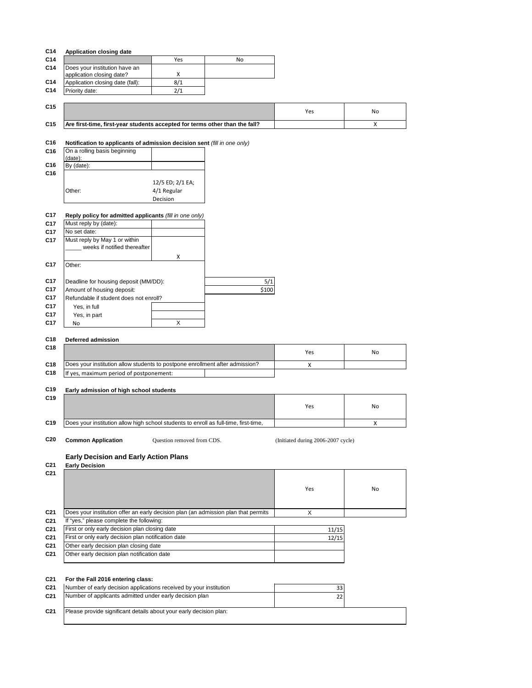|                                                                              | Yes              | No    |     |    |
|------------------------------------------------------------------------------|------------------|-------|-----|----|
| Does your institution have an                                                |                  |       |     |    |
| application closing date?                                                    | X                |       |     |    |
| Application closing date (fall):                                             | 8/1              |       |     |    |
| Priority date:                                                               | 2/1              |       |     |    |
|                                                                              |                  |       |     |    |
|                                                                              |                  |       | Yes | No |
|                                                                              |                  |       |     |    |
| Are first-time, first-year students accepted for terms other than the fall?  |                  |       |     | X  |
|                                                                              |                  |       |     |    |
| Notification to applicants of admission decision sent (fill in one only)     |                  |       |     |    |
| On a rolling basis beginning                                                 |                  |       |     |    |
| (date):                                                                      |                  |       |     |    |
| By (date):                                                                   |                  |       |     |    |
|                                                                              |                  |       |     |    |
|                                                                              | 12/5 ED; 2/1 EA; |       |     |    |
| Other:                                                                       | 4/1 Regular      |       |     |    |
|                                                                              | Decision         |       |     |    |
|                                                                              |                  |       |     |    |
| Reply policy for admitted applicants (fill in one only)                      |                  |       |     |    |
| Must reply by (date):                                                        |                  |       |     |    |
| No set date:                                                                 |                  |       |     |    |
| Must reply by May 1 or within                                                |                  |       |     |    |
| weeks if notified thereafter                                                 |                  |       |     |    |
|                                                                              | x                |       |     |    |
|                                                                              |                  |       |     |    |
| Other:                                                                       |                  |       |     |    |
|                                                                              |                  |       |     |    |
| Deadline for housing deposit (MM/DD):                                        |                  | 5/1   |     |    |
| Amount of housing deposit:                                                   |                  | \$100 |     |    |
| Refundable if student does not enroll?                                       |                  |       |     |    |
| Yes, in full                                                                 |                  |       |     |    |
| Yes, in part                                                                 |                  |       |     |    |
| <b>No</b>                                                                    | X                |       |     |    |
|                                                                              |                  |       |     |    |
| <b>Deferred admission</b>                                                    |                  |       |     |    |
|                                                                              |                  |       |     |    |
|                                                                              |                  |       | Yes | No |
| Does your institution allow students to postpone enrollment after admission? |                  |       | X   |    |
| If yes, maximum period of postponement:                                      |                  |       |     |    |
|                                                                              |                  |       |     |    |
| Early admission of high school students                                      |                  |       |     |    |
|                                                                              |                  |       |     |    |
|                                                                              |                  |       | Yes | No |
|                                                                              |                  |       |     |    |

**C19** Poes your institution allow high school students to enroll as full-time, first-time,  $\qquad$  **Properties** X ٦

Question removed from CDS.

C20 **Common Application Question removed from CDS.** (Initiated during 2006-2007 cycle)

# **Early Decision and Early Action Plans**

**C21 Early Decision**

| C21             |                                                                                    | Yes   | <b>No</b> |
|-----------------|------------------------------------------------------------------------------------|-------|-----------|
| C <sub>21</sub> | Does your institution offer an early decision plan (an admission plan that permits | X     |           |
| C <sub>21</sub> | If "yes," please complete the following:                                           |       |           |
| C <sub>21</sub> | First or only early decision plan closing date                                     | 11/15 |           |
| C <sub>21</sub> | First or only early decision plan notification date                                | 12/15 |           |
| C <sub>21</sub> | Other early decision plan closing date                                             |       |           |
| C <sub>21</sub> | Other early decision plan notification date                                        |       |           |
|                 |                                                                                    |       |           |

| C <sub>21</sub> | For the Fall 2016 entering class:                                  |  |
|-----------------|--------------------------------------------------------------------|--|
| C <sub>21</sub> | Number of early decision applications received by your institution |  |
| C <sub>21</sub> | Number of applicants admitted under early decision plan            |  |
| C <sub>21</sub> | Please provide significant details about your early decision plan: |  |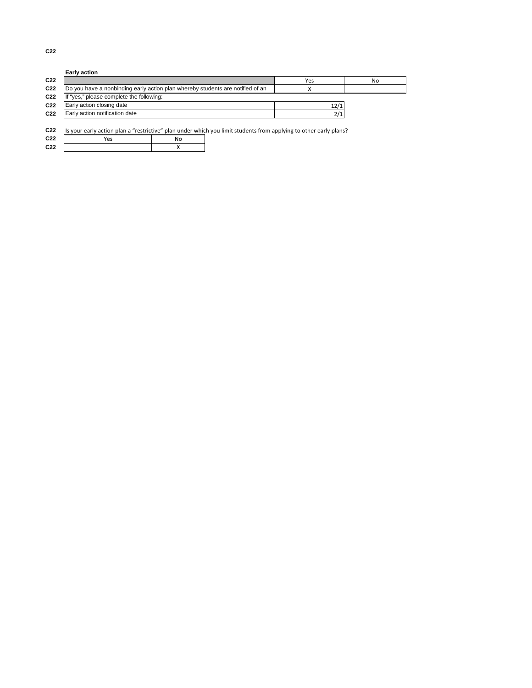|                 | <b>Early action</b>                                                            |      |    |
|-----------------|--------------------------------------------------------------------------------|------|----|
| C <sub>22</sub> |                                                                                | Yes  | No |
| C <sub>22</sub> | Do you have a nonbinding early action plan whereby students are notified of an |      |    |
| C <sub>22</sub> | If "yes," please complete the following:                                       |      |    |
| C <sub>22</sub> | Early action closing date                                                      | 12/1 |    |
| C <sub>22</sub> | Early action notification date                                                 | 2/1  |    |
|                 |                                                                                |      |    |

**C22** Is your early action plan a "restrictive" plan under which you limit students from applying to other early plans?

| C <sub>22</sub> | Yes | No |
|-----------------|-----|----|
| C <sub>22</sub> |     |    |

**C22**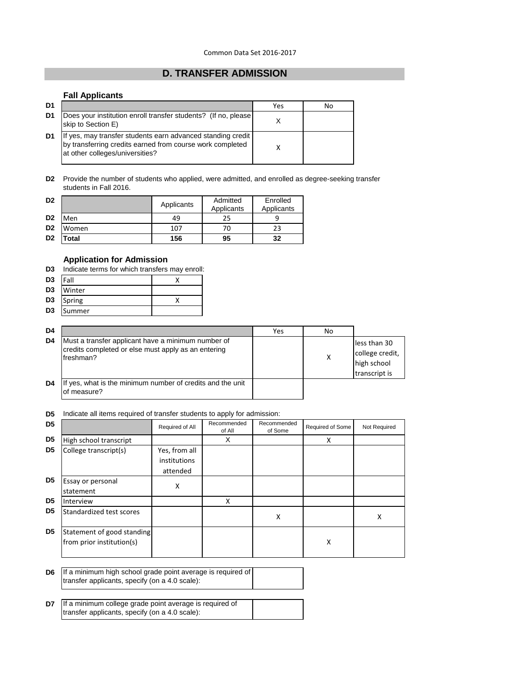# **D. TRANSFER ADMISSION**

# **Fall Applicants**

| D <sub>1</sub> |                                                                                                                                                             | Yes | No |
|----------------|-------------------------------------------------------------------------------------------------------------------------------------------------------------|-----|----|
| D1             | Does your institution enroll transfer students? (If no, please)<br>skip to Section E)                                                                       |     |    |
| D1             | If yes, may transfer students earn advanced standing credit<br>by transferring credits earned from course work completed<br>at other colleges/universities? |     |    |

**D2** Provide the number of students who applied, were admitted, and enrolled as degree-seeking transfer students in Fall 2016.

| D <sub>2</sub> |       | Applicants | Admitted   | Enrolled   |  |
|----------------|-------|------------|------------|------------|--|
|                |       |            | Applicants | Applicants |  |
| D <sub>2</sub> | Men   | 49         | 25         |            |  |
| D <sub>2</sub> | Women | 107        | 70         | 23         |  |
| D <sub>2</sub> | Total | 156        | 95         | 32         |  |

## **Application for Admission**

| D3             | Indicate terms for which transfers may enroll: |  |  |  |  |
|----------------|------------------------------------------------|--|--|--|--|
|                | $D3$  Fall                                     |  |  |  |  |
|                | D3 Winter                                      |  |  |  |  |
| D <sub>3</sub> | Spring                                         |  |  |  |  |

| D3 | <b>Summer</b> |  |
|----|---------------|--|
|    |               |  |

| D <sub>4</sub> |                                                                                                                        | Yes | No |                                                                 |
|----------------|------------------------------------------------------------------------------------------------------------------------|-----|----|-----------------------------------------------------------------|
| D4             | Must a transfer applicant have a minimum number of<br>credits completed or else must apply as an entering<br>freshman? |     |    | less than 30<br>college credit,<br>high school<br>transcript is |
| D4             | If yes, what is the minimum number of credits and the unit<br>of measure?                                              |     |    |                                                                 |

 $\overline{\phantom{0}}$ 

## **D5** Indicate all items required of transfer students to apply for admission:

| D <sub>5</sub> |                                                         | Required of All                           | Recommended<br>of All | Recommended<br>of Some | Required of Some | Not Required |
|----------------|---------------------------------------------------------|-------------------------------------------|-----------------------|------------------------|------------------|--------------|
| D <sub>5</sub> | High school transcript                                  |                                           | X                     |                        | x                |              |
| D <sub>5</sub> | College transcript(s)                                   | Yes, from all<br>institutions<br>attended |                       |                        |                  |              |
| D <sub>5</sub> | Essay or personal<br>statement                          | X                                         |                       |                        |                  |              |
| D <sub>5</sub> | Interview                                               |                                           | X                     |                        |                  |              |
| D <sub>5</sub> | Standardized test scores                                |                                           |                       | X                      |                  | X            |
| D <sub>5</sub> | Statement of good standing<br>from prior institution(s) |                                           |                       |                        | X                |              |

**D6** If a minimum high school grade point average is required of transfer applicants, specify (on a 4.0 scale):

**D7** If a minimum college grade point average is required of transfer applicants, specify (on a 4.0 scale):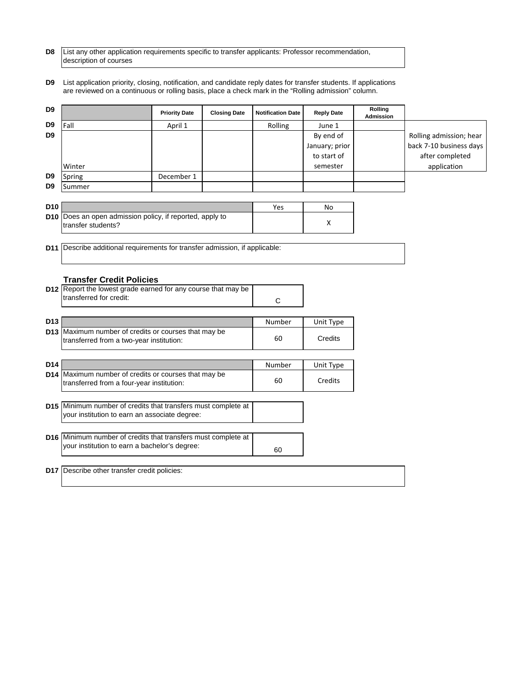| D8 List any other application requirements specific to transfer applicants: Professor recommendation, |
|-------------------------------------------------------------------------------------------------------|
| description of courses                                                                                |

**D9** List application priority, closing, notification, and candidate reply dates for transfer students. If applications are reviewed on a continuous or rolling basis, place a check mark in the "Rolling admission" column.

| D9              |                                                                                                   | <b>Priority Date</b> | <b>Closing Date</b> | <b>Notification Date</b> | <b>Reply Date</b> | Rolling<br><b>Admission</b> |                         |
|-----------------|---------------------------------------------------------------------------------------------------|----------------------|---------------------|--------------------------|-------------------|-----------------------------|-------------------------|
| D <sub>9</sub>  | Fall                                                                                              | April 1              |                     | Rolling                  | June 1            |                             |                         |
| D <sub>9</sub>  |                                                                                                   |                      |                     |                          | By end of         |                             | Rolling admission; hear |
|                 |                                                                                                   |                      |                     |                          | January; prior    |                             | back 7-10 business days |
|                 |                                                                                                   |                      |                     |                          | to start of       |                             | after completed         |
|                 | Winter                                                                                            |                      |                     |                          | semester          |                             | application             |
| D9              | Spring                                                                                            | December 1           |                     |                          |                   |                             |                         |
| D9              | Summer                                                                                            |                      |                     |                          |                   |                             |                         |
|                 |                                                                                                   |                      |                     |                          |                   |                             |                         |
| D <sub>10</sub> |                                                                                                   |                      |                     | Yes                      | No                |                             |                         |
|                 | D10 Does an open admission policy, if reported, apply to<br>transfer students?                    |                      |                     |                          | x                 |                             |                         |
|                 | D11 Describe additional requirements for transfer admission, if applicable:                       |                      |                     |                          |                   |                             |                         |
|                 | <b>Transfer Credit Policies</b>                                                                   |                      |                     |                          |                   |                             |                         |
|                 | D12 Report the lowest grade earned for any course that may be                                     |                      |                     |                          |                   |                             |                         |
|                 | transferred for credit:                                                                           |                      |                     | C                        |                   |                             |                         |
|                 |                                                                                                   |                      |                     |                          |                   |                             |                         |
| D <sub>13</sub> |                                                                                                   |                      |                     | Number                   | Unit Type         |                             |                         |
|                 | D13 Maximum number of credits or courses that may be<br>transferred from a two-year institution:  |                      |                     | 60                       | Credits           |                             |                         |
| D14             |                                                                                                   |                      |                     | Number                   | Unit Type         |                             |                         |
|                 | D14 Maximum number of credits or courses that may be<br>transferred from a four-year institution: |                      |                     | 60                       | Credits           |                             |                         |
|                 | D15 Minimum number of credits that transfers must complete at                                     |                      |                     |                          |                   |                             |                         |
|                 | your institution to earn an associate degree:                                                     |                      |                     |                          |                   |                             |                         |
|                 | D16 Minimum number of credits that transfers must complete at                                     |                      |                     |                          |                   |                             |                         |
|                 | your institution to earn a bachelor's degree:                                                     |                      |                     | 60                       |                   |                             |                         |
|                 | D17 Describe other transfer credit policies:                                                      |                      |                     |                          |                   |                             |                         |
|                 |                                                                                                   |                      |                     |                          |                   |                             |                         |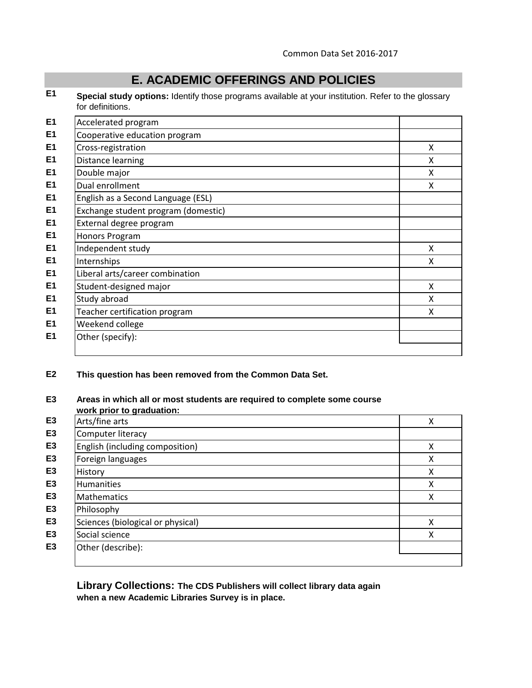# **E. ACADEMIC OFFERINGS AND POLICIES**

**E1 Special study options:** Identify those programs available at your institution. Refer to the glossary for definitions.

| E <sub>1</sub> | Accelerated program                 |   |
|----------------|-------------------------------------|---|
| E <sub>1</sub> | Cooperative education program       |   |
| E <sub>1</sub> | Cross-registration                  | X |
| E <sub>1</sub> | Distance learning                   | X |
| E <sub>1</sub> | Double major                        | X |
| E <sub>1</sub> | Dual enrollment                     | X |
| E <sub>1</sub> | English as a Second Language (ESL)  |   |
| E <sub>1</sub> | Exchange student program (domestic) |   |
| E <sub>1</sub> | External degree program             |   |
| E <sub>1</sub> | Honors Program                      |   |
| E <sub>1</sub> | Independent study                   | X |
| E <sub>1</sub> | Internships                         | X |
| E <sub>1</sub> | Liberal arts/career combination     |   |
| E <sub>1</sub> | Student-designed major              | X |
| E <sub>1</sub> | Study abroad                        | X |
| E <sub>1</sub> | Teacher certification program       | X |
| E <sub>1</sub> | Weekend college                     |   |
| E <sub>1</sub> | Other (specify):                    |   |
|                |                                     |   |

# **E2 This question has been removed from the Common Data Set.**

# **E3 Areas in which all or most students are required to complete some course**

|                | work prior to graduation:         |   |
|----------------|-----------------------------------|---|
| E <sub>3</sub> | Arts/fine arts                    | Χ |
| E <sub>3</sub> | Computer literacy                 |   |
| E <sub>3</sub> | English (including composition)   | X |
| E <sub>3</sub> | Foreign languages                 | x |
| E <sub>3</sub> | History                           | Χ |
| E <sub>3</sub> | <b>Humanities</b>                 | Χ |
| E <sub>3</sub> | <b>Mathematics</b>                | X |
| E <sub>3</sub> | Philosophy                        |   |
| E <sub>3</sub> | Sciences (biological or physical) | X |
| E <sub>3</sub> | Social science                    | X |
| E <sub>3</sub> | Other (describe):                 |   |
|                |                                   |   |

**Library Collections: The CDS Publishers will collect library data again when a new Academic Libraries Survey is in place.**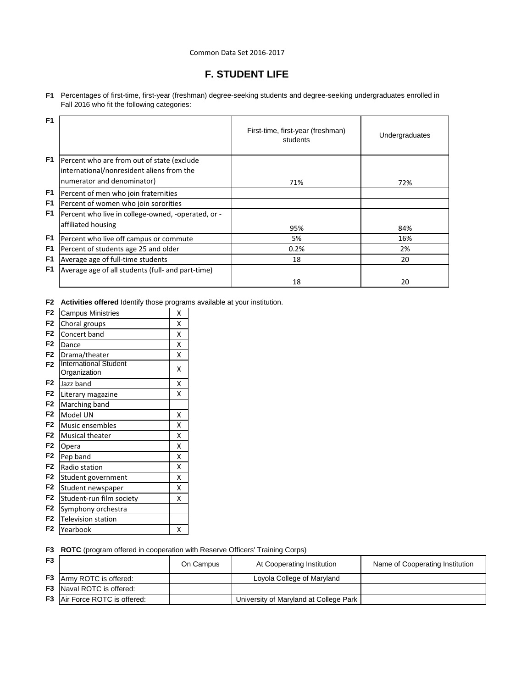## Common Data Set 2016-2017

# **F. STUDENT LIFE**

**F1** Percentages of first-time, first-year (freshman) degree-seeking students and degree-seeking undergraduates enrolled in Fall 2016 who fit the following categories:

| F <sub>1</sub> |                                                    | First-time, first-year (freshman)<br>students | Undergraduates |
|----------------|----------------------------------------------------|-----------------------------------------------|----------------|
| F1             | Percent who are from out of state (exclude         |                                               |                |
|                | international/nonresident aliens from the          |                                               |                |
|                | numerator and denominator)                         | 71%                                           | 72%            |
| F1             | Percent of men who join fraternities               |                                               |                |
| F1             | Percent of women who join sororities               |                                               |                |
| F1             | Percent who live in college-owned, -operated, or - |                                               |                |
|                | affiliated housing                                 | 95%                                           | 84%            |
| F <sub>1</sub> | Percent who live off campus or commute             | 5%                                            | 16%            |
| F1             | Percent of students age 25 and older               | 0.2%                                          | 2%             |
| F <sub>1</sub> | Average age of full-time students                  | 18                                            | 20             |
| F <sub>1</sub> | Average age of all students (full- and part-time)  |                                               |                |
|                |                                                    | 18                                            | 20             |

**F2 Activities offered** Identify those programs available at your institution.

| F <sub>2</sub> | <b>Campus Ministries</b>     | X |
|----------------|------------------------------|---|
| F <sub>2</sub> | Choral groups                | Χ |
| F <sub>2</sub> | Concert band                 | Χ |
| F <sub>2</sub> | Dance                        | X |
| F <sub>2</sub> | Drama/theater                | X |
| F <sub>2</sub> | <b>International Student</b> | Χ |
|                | Organization                 |   |
| F <sub>2</sub> | Jazz band                    | X |
| F <sub>2</sub> | Literary magazine            | Χ |
| F <sub>2</sub> | Marching band                |   |
| F <sub>2</sub> | Model UN                     | X |
| F <sub>2</sub> | Music ensembles              | X |
| F <sub>2</sub> | <b>Musical theater</b>       | X |
| F <sub>2</sub> | Opera                        | X |
| F <sub>2</sub> | Pep band                     | X |
| F <sub>2</sub> | Radio station                | X |
| F <sub>2</sub> | Student government           | X |
| F <sub>2</sub> | Student newspaper            | X |
| F <sub>2</sub> | Student-run film society     | X |
| F <sub>2</sub> | Symphony orchestra           |   |
| F <sub>2</sub> | <b>Television station</b>    |   |
| F2             | Yearbook                     | Χ |
|                |                              |   |

**F3 ROTC** (program offered in cooperation with Reserve Officers' Training Corps)

| F <sub>3</sub> |                                      | On Campus | At Cooperating Institution             | Name of Cooperating Institution |
|----------------|--------------------------------------|-----------|----------------------------------------|---------------------------------|
|                | <b>F3</b> Army ROTC is offered:      |           | Loyola College of Maryland             |                                 |
|                | <b>F3</b> Naval ROTC is offered:     |           |                                        |                                 |
|                | <b>F3</b> Air Force ROTC is offered: |           | University of Maryland at College Park |                                 |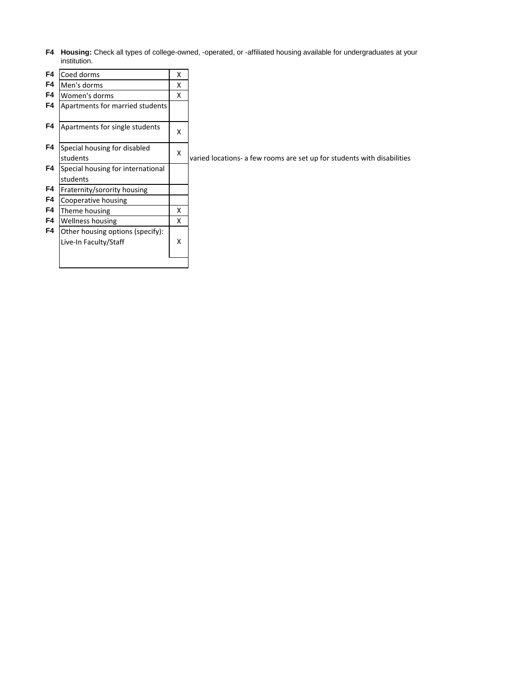**F4 Housing:** Check all types of college-owned, -operated, or -affiliated housing available for undergraduates at your institution.

| F4             | Coed dorms                        | X |  |  |                                                                         |
|----------------|-----------------------------------|---|--|--|-------------------------------------------------------------------------|
| F4             | Men's dorms                       | x |  |  |                                                                         |
| F <sub>4</sub> | Women's dorms                     | x |  |  |                                                                         |
| F4             | Apartments for married students   |   |  |  |                                                                         |
|                |                                   |   |  |  |                                                                         |
| F4             | Apartments for single students    | x |  |  |                                                                         |
|                |                                   |   |  |  |                                                                         |
| F4             | Special housing for disabled      | X |  |  |                                                                         |
|                | students                          |   |  |  | varied locations- a few rooms are set up for students with disabilities |
| F4             | Special housing for international |   |  |  |                                                                         |
|                | students                          |   |  |  |                                                                         |
| F4             | Fraternity/sorority housing       |   |  |  |                                                                         |
| F4             | Cooperative housing               |   |  |  |                                                                         |
| F4             | Theme housing                     | X |  |  |                                                                         |
| F4             | <b>Wellness housing</b>           | x |  |  |                                                                         |
| F4             | Other housing options (specify):  |   |  |  |                                                                         |
|                | Live-In Faculty/Staff             | X |  |  |                                                                         |
|                |                                   |   |  |  |                                                                         |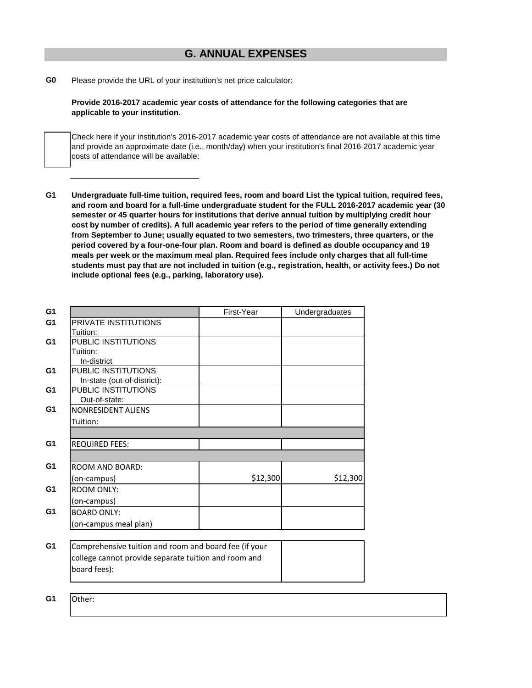# **G. ANNUAL EXPENSES**

**G0** Please provide the URL of your institution's net price calculator:

**Provide 2016-2017 academic year costs of attendance for the following categories that are applicable to your institution.**

Check here if your institution's 2016-2017 academic year costs of attendance are not available at this time and provide an approximate date (i.e., month/day) when your institution's final 2016-2017 academic year costs of attendance will be available:

**G1 Undergraduate full-time tuition, required fees, room and board List the typical tuition, required fees, and room and board for a full-time undergraduate student for the FULL 2016-2017 academic year (30 semester or 45 quarter hours for institutions that derive annual tuition by multiplying credit hour cost by number of credits). A full academic year refers to the period of time generally extending from September to June; usually equated to two semesters, two trimesters, three quarters, or the period covered by a four-one-four plan. Room and board is defined as double occupancy and 19 meals per week or the maximum meal plan. Required fees include only charges that all full-time students must pay that are not included in tuition (e.g., registration, health, or activity fees.) Do not include optional fees (e.g., parking, laboratory use).**

| G1             |                                                       | First-Year | Undergraduates |
|----------------|-------------------------------------------------------|------------|----------------|
| G <sub>1</sub> | PRIVATE INSTITUTIONS                                  |            |                |
|                | Tuition:                                              |            |                |
| G <sub>1</sub> | PUBLIC INSTITUTIONS                                   |            |                |
|                | Tuition:                                              |            |                |
|                | In-district                                           |            |                |
| G <sub>1</sub> | PUBLIC INSTITUTIONS                                   |            |                |
|                | In-state (out-of-district):                           |            |                |
| G <sub>1</sub> | PUBLIC INSTITUTIONS                                   |            |                |
| G <sub>1</sub> | Out-of-state:                                         |            |                |
|                | <b>NONRESIDENT ALIENS</b>                             |            |                |
|                | Tuition:                                              |            |                |
|                |                                                       |            |                |
| G <sub>1</sub> | <b>REQUIRED FEES:</b>                                 |            |                |
|                |                                                       |            |                |
| G <sub>1</sub> | <b>ROOM AND BOARD:</b>                                |            |                |
|                | (on-campus)                                           | \$12,300   | \$12,300       |
| G <sub>1</sub> | <b>ROOM ONLY:</b>                                     |            |                |
|                | (on-campus)                                           |            |                |
| G <sub>1</sub> | <b>BOARD ONLY:</b>                                    |            |                |
|                | (on-campus meal plan)                                 |            |                |
|                |                                                       |            |                |
| G <sub>1</sub> | Comprehensive tuition and room and board fee (if your |            |                |
|                | college cannot provide separate tuition and room and  |            |                |
|                | board fees):                                          |            |                |
|                |                                                       |            |                |
|                |                                                       |            |                |

**G1** Other: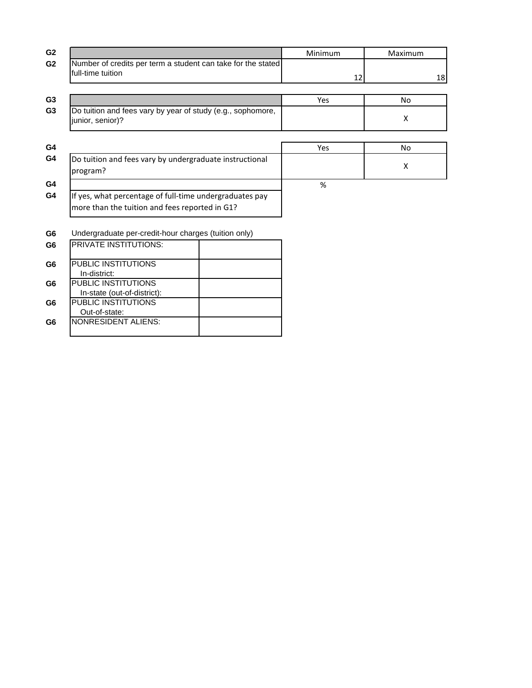| G <sub>2</sub>                                                                                            | Minimum | Maximum |
|-----------------------------------------------------------------------------------------------------------|---------|---------|
| G <sub>2</sub><br>Number of credits per term a student can take for the stated<br>full-time tuition       | 12      | 18      |
| G <sub>3</sub>                                                                                            | Yes     | No      |
| Do tuition and fees vary by year of study (e.g., sophomore,<br>G <sub>3</sub><br>junior, senior)?         |         | X       |
| G4                                                                                                        | Yes     | No.     |
| G4<br>Do tuition and fees vary by undergraduate instructional<br>program?                                 |         | X       |
| G4                                                                                                        | %       |         |
| If yes, what percentage of full-time undergraduates pay<br>more than the tuition and fees reported in G1? |         |         |
| Undergraduate per-credit-hour charges (tuition only)                                                      |         |         |
| <b>PRIVATE INSTITUTIONS:</b>                                                                              |         |         |
| PUBLIC INSTITUTIONS<br>In-district:                                                                       |         |         |
| <b>PUBLIC INSTITUTIONS</b><br>In-state (out-of-district):                                                 |         |         |
| PUBLIC INSTITUTIONS                                                                                       |         |         |
| Out-of-state:<br><b>NONRESIDENT ALIENS:</b>                                                               |         |         |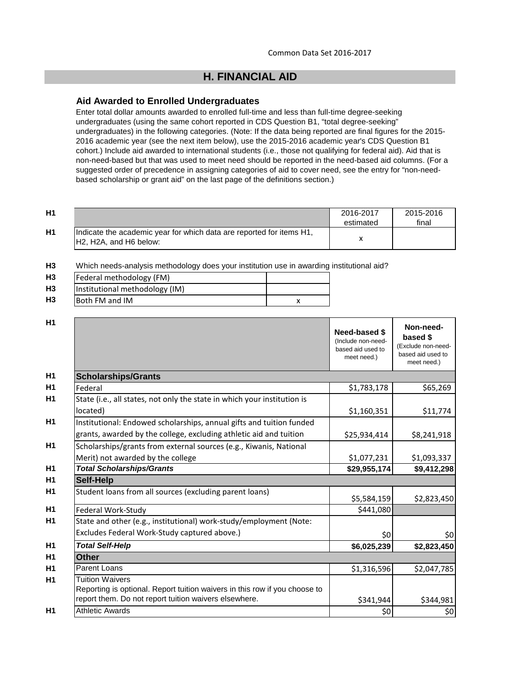# **H. FINANCIAL AID**

# **Aid Awarded to Enrolled Undergraduates**

Enter total dollar amounts awarded to enrolled full-time and less than full-time degree-seeking undergraduates (using the same cohort reported in CDS Question B1, "total degree-seeking" undergraduates) in the following categories. (Note: If the data being reported are final figures for the 2015- 2016 academic year (see the next item below), use the 2015-2016 academic year's CDS Question B1 cohort.) Include aid awarded to international students (i.e., those not qualifying for federal aid). Aid that is non-need-based but that was used to meet need should be reported in the need-based aid columns. (For a suggested order of precedence in assigning categories of aid to cover need, see the entry for "non-needbased scholarship or grant aid" on the last page of the definitions section.)

| <b>H1</b> |                                                                                                 | 2016-2017 | 2015-2016 |
|-----------|-------------------------------------------------------------------------------------------------|-----------|-----------|
|           |                                                                                                 | estimated | final     |
| <b>H1</b> | Indicate the academic year for which data are reported for items H1,<br>IH2, H2A, and H6 below: |           |           |

**H3** Which needs-analysis methodology does your institution use in awarding institutional aid?

| H <sub>3</sub> | Federal methodology (FM)       |  |
|----------------|--------------------------------|--|
| H3             | Institutional methodology (IM) |  |
| H3             | Both FM and IM                 |  |

| H1             |                                                                                                                                                               | Need-based \$<br>(Include non-need-<br>based aid used to<br>meet need.) | Non-need-<br>based \$<br>(Exclude non-need-<br>based aid used to<br>meet need.) |
|----------------|---------------------------------------------------------------------------------------------------------------------------------------------------------------|-------------------------------------------------------------------------|---------------------------------------------------------------------------------|
| H <sub>1</sub> | <b>Scholarships/Grants</b>                                                                                                                                    |                                                                         |                                                                                 |
| H1             | Federal                                                                                                                                                       | \$1,783,178                                                             | \$65,269                                                                        |
| H1             | State (i.e., all states, not only the state in which your institution is<br>located)                                                                          | \$1,160,351                                                             | \$11,774                                                                        |
| H <sub>1</sub> | Institutional: Endowed scholarships, annual gifts and tuition funded                                                                                          |                                                                         |                                                                                 |
|                | grants, awarded by the college, excluding athletic aid and tuition                                                                                            | \$25,934,414                                                            | \$8,241,918                                                                     |
| H1             | Scholarships/grants from external sources (e.g., Kiwanis, National                                                                                            |                                                                         |                                                                                 |
|                | Merit) not awarded by the college                                                                                                                             | \$1,077,231                                                             | \$1,093,337                                                                     |
| H1             | <b>Total Scholarships/Grants</b>                                                                                                                              | \$29,955,174                                                            | \$9,412,298                                                                     |
| H <sub>1</sub> | <b>Self-Help</b>                                                                                                                                              |                                                                         |                                                                                 |
| H <sub>1</sub> | Student loans from all sources (excluding parent loans)                                                                                                       | \$5,584,159                                                             | \$2,823,450                                                                     |
|                | Federal Work-Study                                                                                                                                            | \$441,080                                                               |                                                                                 |
|                | State and other (e.g., institutional) work-study/employment (Note:                                                                                            |                                                                         |                                                                                 |
|                | Excludes Federal Work-Study captured above.)                                                                                                                  | \$0                                                                     | \$0                                                                             |
| H1             | <b>Total Self-Help</b>                                                                                                                                        | \$6,025,239                                                             | \$2,823,450                                                                     |
| H1             | <b>Other</b>                                                                                                                                                  |                                                                         |                                                                                 |
|                | Parent Loans                                                                                                                                                  | \$1,316,596                                                             | \$2,047,785                                                                     |
|                | <b>Tuition Waivers</b><br>Reporting is optional. Report tuition waivers in this row if you choose to<br>report them. Do not report tuition waivers elsewhere. | \$341,944                                                               | \$344,981                                                                       |
| H1             | <b>Athletic Awards</b>                                                                                                                                        | \$0                                                                     | \$0                                                                             |
|                |                                                                                                                                                               |                                                                         |                                                                                 |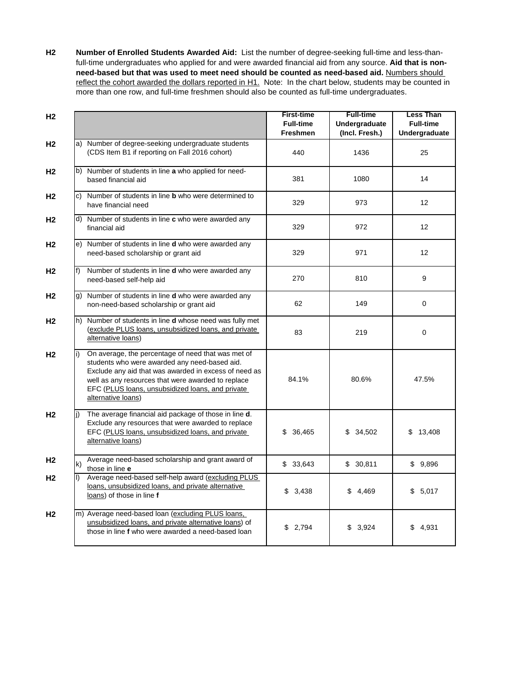**H2 Number of Enrolled Students Awarded Aid:** List the number of degree-seeking full-time and less-thanfull-time undergraduates who applied for and were awarded financial aid from any source. **Aid that is nonneed-based but that was used to meet need should be counted as need-based aid.** Numbers should reflect the cohort awarded the dollars reported in H1. Note: In the chart below, students may be counted in more than one row, and full-time freshmen should also be counted as full-time undergraduates.

| H <sub>2</sub> |     |                                                                                                                                                                                                                                                                                              | <b>First-time</b><br><b>Full-time</b><br><b>Freshmen</b> | <b>Full-time</b><br>Undergraduate<br>(Incl. Fresh.) | <b>Less Than</b><br><b>Full-time</b><br>Undergraduate |
|----------------|-----|----------------------------------------------------------------------------------------------------------------------------------------------------------------------------------------------------------------------------------------------------------------------------------------------|----------------------------------------------------------|-----------------------------------------------------|-------------------------------------------------------|
| H2             |     | a) Number of degree-seeking undergraduate students<br>(CDS Item B1 if reporting on Fall 2016 cohort)                                                                                                                                                                                         | 440                                                      | 1436                                                | 25                                                    |
| H2             |     | b) Number of students in line a who applied for need-<br>based financial aid                                                                                                                                                                                                                 | 381                                                      | 1080                                                | 14                                                    |
| H2             | c). | Number of students in line <b>b</b> who were determined to<br>have financial need                                                                                                                                                                                                            | 329                                                      | 973                                                 | 12                                                    |
| H2             |     | d) Number of students in line c who were awarded any<br>financial aid                                                                                                                                                                                                                        | 329                                                      | 972                                                 | 12                                                    |
| H2             |     | e) Number of students in line <b>d</b> who were awarded any<br>need-based scholarship or grant aid                                                                                                                                                                                           | 329                                                      | 971                                                 | 12                                                    |
| H2             | f)  | Number of students in line d who were awarded any<br>need-based self-help aid                                                                                                                                                                                                                | 270                                                      | 810                                                 | 9                                                     |
| Н2             |     | g) Number of students in line d who were awarded any<br>non-need-based scholarship or grant aid                                                                                                                                                                                              | 62                                                       | 149                                                 | $\mathbf 0$                                           |
| H2             |     | h) Number of students in line <b>d</b> whose need was fully met<br>(exclude PLUS loans, unsubsidized loans, and private<br>alternative loans)                                                                                                                                                | 83                                                       | 219                                                 | 0                                                     |
| H <sub>2</sub> | i)  | On average, the percentage of need that was met of<br>students who were awarded any need-based aid.<br>Exclude any aid that was awarded in excess of need as<br>well as any resources that were awarded to replace<br>EFC (PLUS loans, unsubsidized loans, and private<br>alternative loans) | 84.1%                                                    | 80.6%                                               | 47.5%                                                 |
| H <sub>2</sub> | i)  | The average financial aid package of those in line d.<br>Exclude any resources that were awarded to replace<br>EFC (PLUS loans, unsubsidized loans, and private<br>alternative loans)                                                                                                        | \$<br>36,465                                             | \$34,502                                            | \$13,408                                              |
| H2             | k)  | Average need-based scholarship and grant award of<br>those in line e                                                                                                                                                                                                                         | \$33,643                                                 | \$30,811                                            | \$9,896                                               |
| H2             | I). | Average need-based self-help award (excluding PLUS<br>loans, unsubsidized loans, and private alternative<br>loans) of those in line f                                                                                                                                                        | \$3,438                                                  | \$4,469                                             | \$5,017                                               |
| H <sub>2</sub> |     | m) Average need-based loan (excluding PLUS loans,<br>unsubsidized loans, and private alternative loans) of<br>those in line f who were awarded a need-based loan                                                                                                                             | \$2,794                                                  | \$3,924                                             | \$4,931                                               |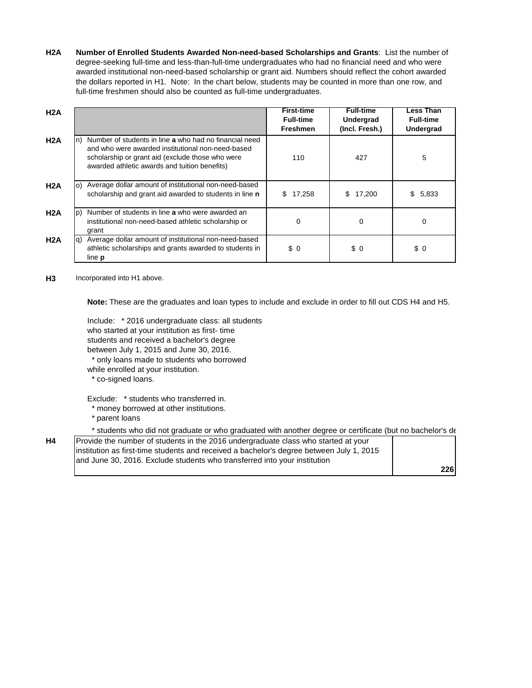**H2A Number of Enrolled Students Awarded Non-need-based Scholarships and Grants**: List the number of degree-seeking full-time and less-than-full-time undergraduates who had no financial need and who were awarded institutional non-need-based scholarship or grant aid. Numbers should reflect the cohort awarded the dollars reported in H1. Note: In the chart below, students may be counted in more than one row, and full-time freshmen should also be counted as full-time undergraduates.

| H2A |    |                                                                                                                                                                                                                  | <b>First-time</b><br><b>Full-time</b><br><b>Freshmen</b> | <b>Full-time</b><br><b>Undergrad</b><br>(Incl. Fresh.) | Less Than<br><b>Full-time</b><br>Undergrad |
|-----|----|------------------------------------------------------------------------------------------------------------------------------------------------------------------------------------------------------------------|----------------------------------------------------------|--------------------------------------------------------|--------------------------------------------|
| H2A | n) | Number of students in line a who had no financial need<br>and who were awarded institutional non-need-based<br>scholarship or grant aid (exclude those who were<br>awarded athletic awards and tuition benefits) | 110                                                      | 427                                                    | 5                                          |
| H2A | O) | Average dollar amount of institutional non-need-based<br>scholarship and grant aid awarded to students in line n                                                                                                 | 17,258<br>\$.                                            | 17,200<br>\$.                                          | \$<br>5,833                                |
| H2A | D) | Number of students in line a who were awarded an<br>institutional non-need-based athletic scholarship or<br>grant                                                                                                | 0                                                        | $\Omega$                                               | $\Omega$                                   |
| H2A | q) | Average dollar amount of institutional non-need-based<br>athletic scholarships and grants awarded to students in<br>line <b>p</b>                                                                                | \$0                                                      | \$0                                                    | \$0                                        |

H3 Incorporated into H1 above.

**Note:** These are the graduates and loan types to include and exclude in order to fill out CDS H4 and H5.

Include: \* 2016 undergraduate class: all students who started at your institution as first- time students and received a bachelor's degree between July 1, 2015 and June 30, 2016. \* only loans made to students who borrowed while enrolled at your institution.

\* co-signed loans.

Exclude: \* students who transferred in.

- \* money borrowed at other institutions.
- \* parent loans

\* students who did not graduate or who graduated with another degree or certificate (but no bachelor's de

| Provide the number of students in the 2016 undergraduate class who started at your       |     |
|------------------------------------------------------------------------------------------|-----|
| institution as first-time students and received a bachelor's degree between July 1, 2015 |     |
| and June 30, 2016. Exclude students who transferred into your institution                |     |
|                                                                                          | 226 |

**H4**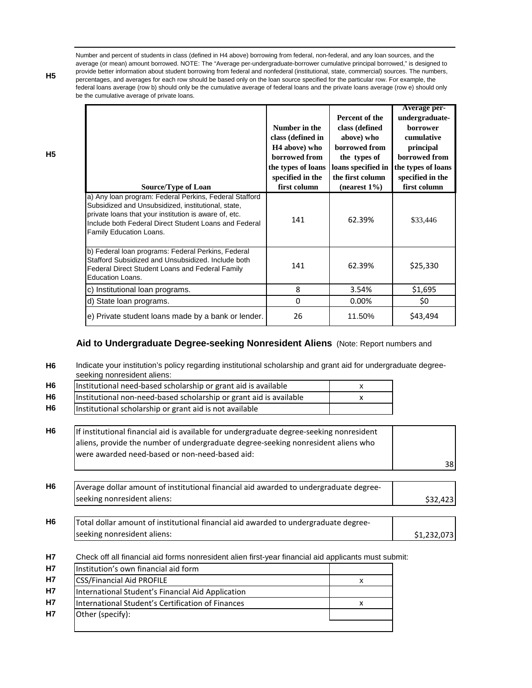Number and percent of students in class (defined in H4 above) borrowing from federal, non-federal, and any loan sources, and the average (or mean) amount borrowed. NOTE: The "Average per-undergraduate-borrower cumulative principal borrowed," is designed to provide better information about student borrowing from federal and nonfederal (institutional, state, commercial) sources. The numbers, percentages, and averages for each row should be based only on the loan source specified for the particular row. For example, the federal loans average (row b) should only be the cumulative average of federal loans and the private loans average (row e) should only be the cumulative average of private loans.

| <b>Source/Type of Loan</b>                                                                                                                                                                                                                                | Number in the<br>class (defined in<br>H <sub>4</sub> above) who<br>borrowed from<br>the types of loans<br>specified in the<br>first column | Percent of the<br>class (defined<br>above) who<br>borrowed from<br>the types of<br>loans specified in<br>the first column<br>$(nearest 1\%)$ | Average per-<br>undergraduate-<br><b>borrower</b><br>cumulative<br>principal<br>borrowed from<br>the types of loans<br>specified in the<br>first column |
|-----------------------------------------------------------------------------------------------------------------------------------------------------------------------------------------------------------------------------------------------------------|--------------------------------------------------------------------------------------------------------------------------------------------|----------------------------------------------------------------------------------------------------------------------------------------------|---------------------------------------------------------------------------------------------------------------------------------------------------------|
| a) Any Ioan program: Federal Perkins, Federal Stafford<br>Subsidized and Unsubsidized, institutional, state,<br>private loans that your institution is aware of, etc.<br>Include both Federal Direct Student Loans and Federal<br>Family Education Loans. | 141                                                                                                                                        | 62.39%                                                                                                                                       | \$33,446                                                                                                                                                |
| b) Federal loan programs: Federal Perkins, Federal<br>Stafford Subsidized and Unsubsidized. Include both<br>Federal Direct Student Loans and Federal Family<br><b>Education Loans.</b>                                                                    | 141                                                                                                                                        | 62.39%                                                                                                                                       | \$25,330                                                                                                                                                |
| c) Institutional loan programs.                                                                                                                                                                                                                           | 8                                                                                                                                          | 3.54%                                                                                                                                        | \$1,695                                                                                                                                                 |
| d) State Ioan programs.                                                                                                                                                                                                                                   | 0                                                                                                                                          | 0.00%                                                                                                                                        | \$0                                                                                                                                                     |
| e) Private student loans made by a bank or lender.                                                                                                                                                                                                        | 26                                                                                                                                         | 11.50%                                                                                                                                       | \$43,494                                                                                                                                                |

# **Aid to Undergraduate Degree-seeking Nonresident Aliens** (Note: Report numbers and

| H <sub>6</sub> | Indicate your institution's policy regarding institutional scholarship and grant aid for undergraduate degree-<br>seeking nonresident aliens:                                 |    |             |  |  |  |
|----------------|-------------------------------------------------------------------------------------------------------------------------------------------------------------------------------|----|-------------|--|--|--|
| H <sub>6</sub> | Institutional need-based scholarship or grant aid is available                                                                                                                | x  |             |  |  |  |
| H <sub>6</sub> | Institutional non-need-based scholarship or grant aid is available                                                                                                            | x  |             |  |  |  |
| H6             | Institutional scholarship or grant aid is not available                                                                                                                       |    |             |  |  |  |
| H6             | If institutional financial aid is available for undergraduate degree-seeking nonresident<br>aliens, provide the number of undergraduate degree-seeking nonresident aliens who |    |             |  |  |  |
|                | were awarded need-based or non-need-based aid:                                                                                                                                | 38 |             |  |  |  |
| <b>H6</b>      | Average dollar amount of institutional financial aid awarded to undergraduate degree-<br>seeking nonresident aliens:                                                          |    | \$32,423    |  |  |  |
| H <sub>6</sub> | Total dollar amount of institutional financial aid awarded to undergraduate degree-<br>seeking nonresident aliens:                                                            |    |             |  |  |  |
| <b>H7</b>      | Check off all financial aid forms nonresident alien first-year financial aid applicants must submit:                                                                          |    | \$1,232,073 |  |  |  |
| <b>H7</b>      | Institution's own financial aid form                                                                                                                                          | X  |             |  |  |  |
| <b>H7</b>      | CSS/Financial Aid PROFILE                                                                                                                                                     |    |             |  |  |  |
| <b>H7</b>      | International Student's Financial Aid Application                                                                                                                             |    |             |  |  |  |
| <b>H7</b>      | International Student's Certification of Finances                                                                                                                             | x  |             |  |  |  |
| <b>H7</b>      | Other (specify):                                                                                                                                                              |    |             |  |  |  |

**H5**

**H5**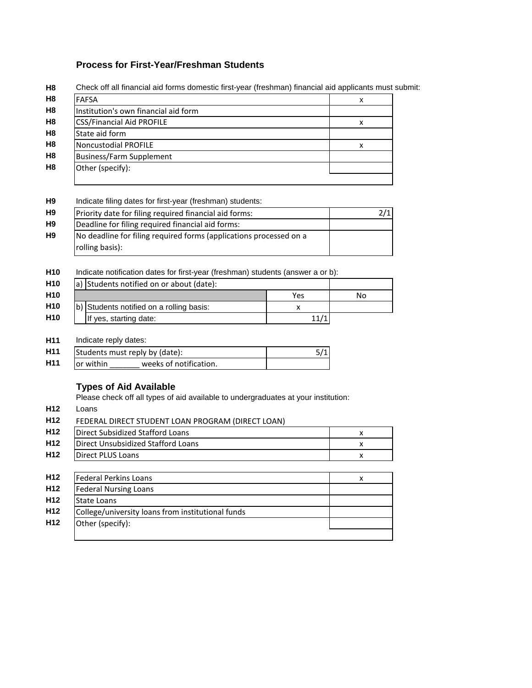# **Process for First-Year/Freshman Students**

| H8             | Check off all financial aid forms domestic first-year (freshman) financial aid applicants must |   |  |  |  |
|----------------|------------------------------------------------------------------------------------------------|---|--|--|--|
| H8             | <b>FAFSA</b>                                                                                   | x |  |  |  |
| H8             | Institution's own financial aid form                                                           |   |  |  |  |
| H8             | <b>CSS/Financial Aid PROFILE</b>                                                               | x |  |  |  |
| H8             | State aid form                                                                                 |   |  |  |  |
| H8             | Noncustodial PROFILE                                                                           | x |  |  |  |
| H8             | <b>Business/Farm Supplement</b>                                                                |   |  |  |  |
| H <sub>8</sub> | Other (specify):                                                                               |   |  |  |  |
|                |                                                                                                |   |  |  |  |

Check off all financial aid forms domestic first-year (freshman) financial aid applicants must submit:

#### **H9** Indicate filing dates for first-year (freshman) students:

| H <sub>9</sub> | Priority date for filing required financial aid forms:             |  |
|----------------|--------------------------------------------------------------------|--|
| H <sub>9</sub> | Deadline for filing required financial aid forms:                  |  |
| H9             | No deadline for filing required forms (applications processed on a |  |
|                | rolling basis):                                                    |  |

**H10** Indicate notification dates for first-year (freshman) students (answer a or b):

| H <sub>10</sub> | a) Students notified on or about (date): |     |    |
|-----------------|------------------------------------------|-----|----|
| H <sub>10</sub> |                                          | Yes | No |
| H <sub>10</sub> | b) Students notified on a rolling basis: |     |    |
| H <sub>10</sub> | If yes, starting date:                   |     |    |

**H11** Indicate reply dates:

Other (specify):

| H <sub>11</sub> | Students must reply by (date): |  |
|-----------------|--------------------------------|--|
| H <sub>11</sub> | lor within                     |  |

# **Types of Aid Available**

Please check off all types of aid available to undergraduates at your institution:

**H12** Loans

**H12**

| Direct Subsidized Stafford Loans   | x |
|------------------------------------|---|
|                                    |   |
| Direct Unsubsidized Stafford Loans | x |
| <b>Direct PLUS Loans</b>           | x |
|                                    |   |
| <b>Federal Perkins Loans</b>       |   |
| <b>Federal Nursing Loans</b>       |   |
| <b>State Loans</b>                 | x |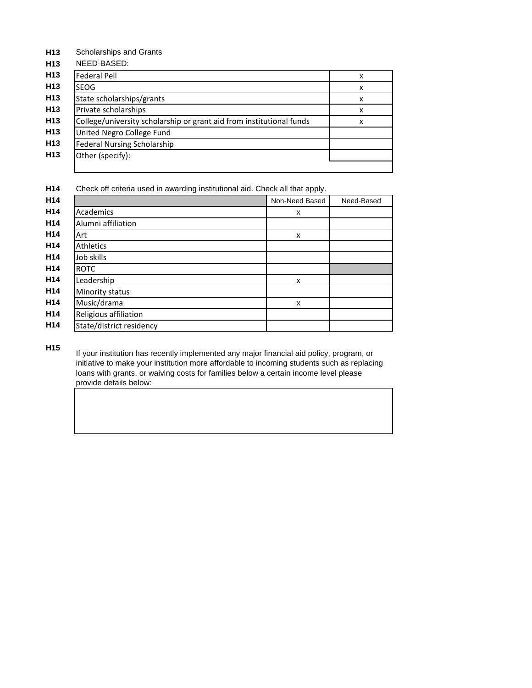**H13** Scholarships and Grants

| NEED-BASED:                                                          |   |
|----------------------------------------------------------------------|---|
| <b>Federal Pell</b>                                                  | X |
| SEOG                                                                 | X |
| State scholarships/grants                                            | x |
| Private scholarships                                                 | x |
| College/university scholarship or grant aid from institutional funds | X |
| United Negro College Fund                                            |   |
| <b>Federal Nursing Scholarship</b>                                   |   |
| Other (specify):                                                     |   |

**H14** Check off criteria used in awarding institutional aid. Check all that apply.

|                          | Non-Need Based | Need-Based |
|--------------------------|----------------|------------|
| Academics                | x              |            |
| Alumni affiliation       |                |            |
| Art                      | x              |            |
| Athletics                |                |            |
| Job skills               |                |            |
| <b>ROTC</b>              |                |            |
| Leadership               | x              |            |
| Minority status          |                |            |
| Music/drama              | x              |            |
| Religious affiliation    |                |            |
| State/district residency |                |            |

**H15**

If your institution has recently implemented any major financial aid policy, program, or initiative to make your institution more affordable to incoming students such as replacing loans with grants, or waiving costs for families below a certain income level please provide details below: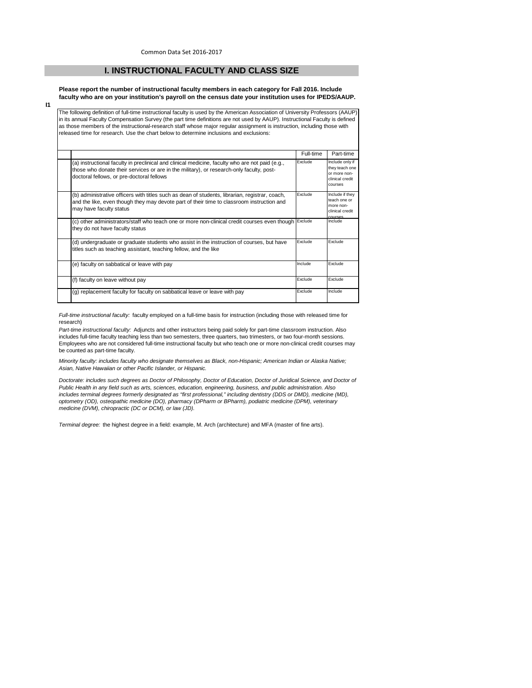#### **I. INSTRUCTIONAL FACULTY AND CLASS SIZE**

**Please report the number of instructional faculty members in each category for Fall 2016. Include faculty who are on your institution's payroll on the census date your institution uses for IPEDS/AAUP.**

**I1**

The following definition of full-time instructional faculty is used by the American Association of University Professors (AAUP) in its annual Faculty Compensation Survey (the part time definitions are not used by AAUP). Instructional Faculty is defined as those members of the instructional-research staff whose major regular assignment is instruction, including those with released time for research. Use the chart below to determine inclusions and exclusions:

|                                                                                                                                                                                                                                          | Full-time | Part-time                                                                       |
|------------------------------------------------------------------------------------------------------------------------------------------------------------------------------------------------------------------------------------------|-----------|---------------------------------------------------------------------------------|
| (a) instructional faculty in preclinical and clinical medicine, faculty who are not paid (e.g.,<br>those who donate their services or are in the military), or research-only faculty, post-<br>doctoral fellows, or pre-doctoral fellows | Exclude   | Include only if<br>they teach one<br>or more non-<br>clinical credit<br>courses |
| (b) administrative officers with titles such as dean of students, librarian, registrar, coach,<br>and the like, even though they may devote part of their time to classroom instruction and<br>may have faculty status                   | Exclude   | Include if they<br>teach one or<br>more non-<br>clinical credit<br>courses      |
| (c) other administrators/staff who teach one or more non-clinical credit courses even though Exclude<br>they do not have faculty status                                                                                                  |           | Include                                                                         |
| (d) undergraduate or graduate students who assist in the instruction of courses, but have<br>titles such as teaching assistant, teaching fellow, and the like                                                                            | Exclude   | Exclude                                                                         |
| (e) faculty on sabbatical or leave with pay                                                                                                                                                                                              | Include   | Exclude                                                                         |
| (f) faculty on leave without pay                                                                                                                                                                                                         | Exclude   | Exclude                                                                         |
| (g) replacement faculty for faculty on sabbatical leave or leave with pay                                                                                                                                                                | Exclude   | Include                                                                         |

*Full-time instructional faculty:* faculty employed on a full-time basis for instruction (including those with released time for research)

*Part-time instructional faculty:* Adjuncts and other instructors being paid solely for part-time classroom instruction. Also includes full-time faculty teaching less than two semesters, three quarters, two trimesters, or two four-month sessions. Employees who are not considered full-time instructional faculty but who teach one or more non-clinical credit courses may be counted as part-time faculty.

*Minority faculty: includes faculty who designate themselves as Black, non-Hispanic; American Indian or Alaska Native; Asian, Native Hawaiian or other Pacific Islander, or Hispanic.* 

*Doctorate: includes such degrees as Doctor of Philosophy, Doctor of Education, Doctor of Juridical Science, and Doctor of Public Health in any field such as arts, sciences, education, engineering, business, and public administration. Also*  includes terminal degrees formerly designated as "first professional," including dentistry (DDS or DMD), medicine (MD), *optometry (OD), osteopathic medicine (DO), pharmacy (DPharm or BPharm), podiatric medicine (DPM), veterinary medicine (DVM), chiropractic (DC or DCM), or law (JD).*

*Terminal degree:* the highest degree in a field: example, M. Arch (architecture) and MFA (master of fine arts).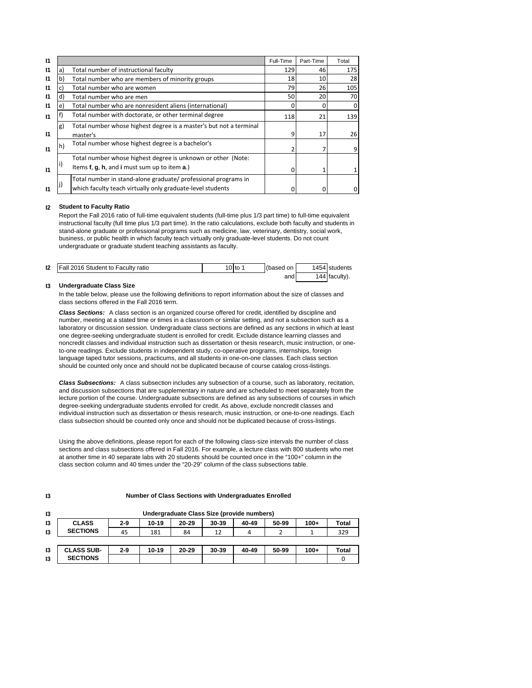| 11           |    |                                                                    | Full-Time | Part-Time | Total |
|--------------|----|--------------------------------------------------------------------|-----------|-----------|-------|
| 11           | a) | Total number of instructional faculty                              | 129       | 46        | 175   |
| 11           |    | Total number who are members of minority groups                    | 18        | 10        | 28    |
| 11           |    | Total number who are women                                         | 79        | 26        | 105   |
| 11           | d) | Total number who are men                                           | 50        | 20        | 70    |
| 11           | e. | Total number who are nonresident aliens (international)            |           |           |       |
| $\mathsf{I}$ |    | Total number with doctorate, or other terminal degree              | 118       | 21        | 139   |
|              | g) | Total number whose highest degree is a master's but not a terminal |           |           |       |
| $\mathbf{I}$ |    | master's                                                           | 9         | 17        | 26    |
| $\mathsf{I}$ | h) | Total number whose highest degree is a bachelor's                  |           |           |       |
|              |    | Total number whose highest degree is unknown or other (Note:       |           |           |       |
| $\mathsf{I}$ |    | Items f, g, h, and i must sum up to item a.)                       |           |           |       |
|              |    | Total number in stand-alone graduate/ professional programs in     |           |           |       |
| 11           |    | which faculty teach virtually only graduate-level students         |           | $\Omega$  |       |

#### **I2 Student to Faculty Ratio**

Report the Fall 2016 ratio of full-time equivalent students (full-time plus 1/3 part time) to full-time equivalent instructional faculty (full time plus 1/3 part time). In the ratio calculations, exclude both faculty and students in stand-alone graduate or professional programs such as medicine, law, veterinary, dentistry, social work, business, or public health in which faculty teach virtually only graduate-level students. Do not count undergraduate or graduate student teaching assistants as faculty.

| 12 | Fall 2016 Student to Faculty ratio | ' 0 to | (based on I | 1454 students |
|----|------------------------------------|--------|-------------|---------------|
|    |                                    |        | and         | 144 faculty). |

#### **I3 Undergraduate Class Size**

In the table below, please use the following definitions to report information about the size of classes and class sections offered in the Fall 2016 term.

*Class Sections:* A class section is an organized course offered for credit, identified by discipline and number, meeting at a stated time or times in a classroom or similar setting, and not a subsection such as a laboratory or discussion session. Undergraduate class sections are defined as any sections in which at least one degree-seeking undergraduate student is enrolled for credit. Exclude distance learning classes and noncredit classes and individual instruction such as dissertation or thesis research, music instruction, or oneto-one readings. Exclude students in independent study, co-operative programs, internships, foreign language taped tutor sessions, practicums, and all students in one-on-one classes. Each class section should be counted only once and should not be duplicated because of course catalog cross-listings.

*Class Subsections:* A class subsection includes any subsection of a course, such as laboratory, recitation, and discussion subsections that are supplementary in nature and are scheduled to meet separately from the lecture portion of the course. Undergraduate subsections are defined as any subsections of courses in which degree-seeking undergraduate students enrolled for credit. As above, exclude noncredit classes and individual instruction such as dissertation or thesis research, music instruction, or one-to-one readings. Each class subsection should be counted only once and should not be duplicated because of cross-listings.

Using the above definitions, please report for each of the following class-size intervals the number of class sections and class subsections offered in Fall 2016. For example, a lecture class with 800 students who met at another time in 40 separate labs with 20 students should be counted once in the "100+" column in the class section column and 40 times under the "20-29" column of the class subsections table.

| 13            | Undergraduate Class Size (provide numbers) |         |       |           |       |       |       |        |       |
|---------------|--------------------------------------------|---------|-------|-----------|-------|-------|-------|--------|-------|
| 13            | <b>CLASS</b>                               | $2 - 9$ | 10-19 | $20 - 29$ | 30-39 | 40-49 | 50-99 | $100+$ | Total |
| $\mathbf{13}$ | <b>SECTIONS</b>                            | 45      | 181   | 84        | 12    | 4     |       |        | 329   |
|               |                                            |         |       |           |       |       |       |        |       |
| 13            | <b>CLASS SUB-</b>                          | $2 - 9$ | 10-19 | $20 - 29$ | 30-39 | 40-49 | 50-99 | $100+$ | Total |
| 13            | <b>SECTIONS</b>                            |         |       |           |       |       |       |        |       |

#### **I3**

**Number of Class Sections with Undergraduates Enrolled**